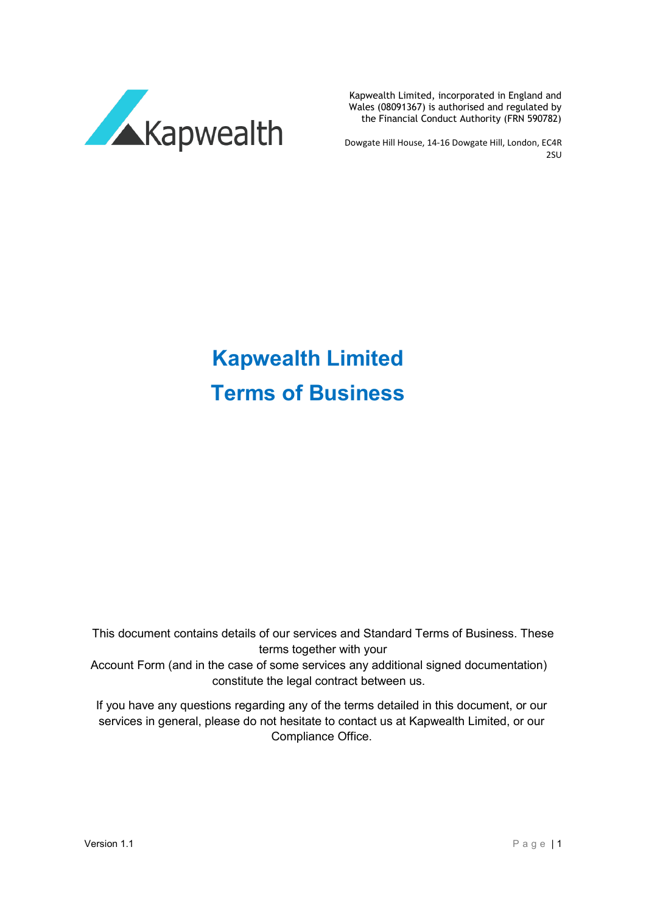

Kapwealth Limited, incorporated in England and Wales (08091367) is authorised and regulated by the Financial Conduct Authority (FRN 590782)

C/O Jellyfish Ltd, Kapwealth, 28th Floor, The Shard, 32 London Bridge Street, London, SE1 9SG

# **Kapwealth Limited Terms of Business**

This document contains details of our services and Standard Terms of Business. These terms together with your Account Form (and in the case of some services any additional signed documentation) constitute the legal contract between us.

If you have any questions regarding any of the terms detailed in this document, or our services in general, please do not hesitate to contact us at Kapwealth Limited, or our Compliance Office.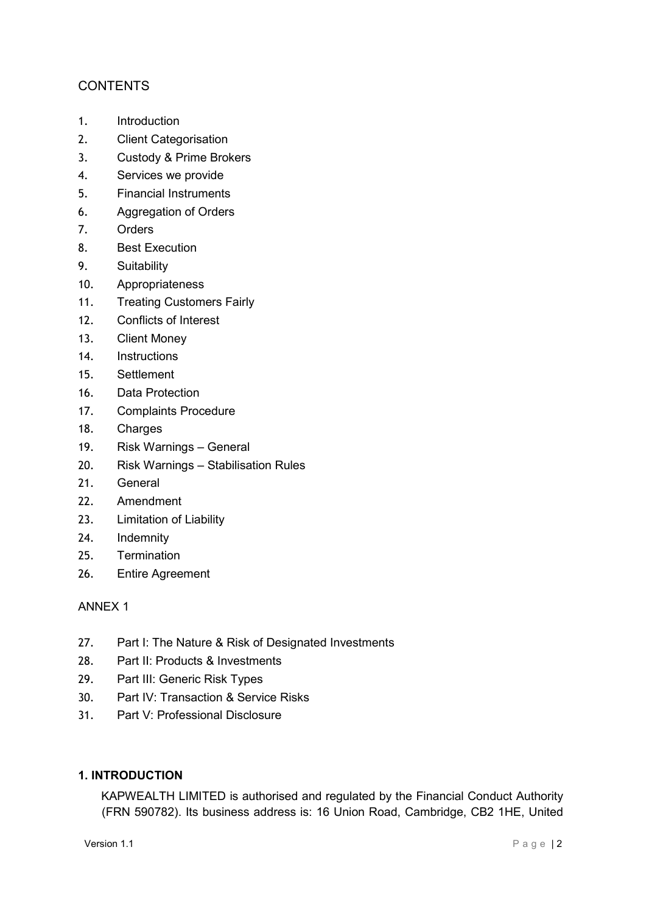# CONTENTS

- 1. Introduction
- 2. Client Categorisation
- 3. Custody & Prime Brokers
- 4. Services we provide
- 5. Financial Instruments
- 6. Aggregation of Orders
- 7. Orders
- 8. Best Execution
- 9. Suitability
- 10. Appropriateness
- 11. Treating Customers Fairly
- 12. Conflicts of Interest
- 13. Client Money
- 14. Instructions
- 15. Settlement
- 16. Data Protection
- 17. Complaints Procedure
- 18. Charges
- 19. Risk Warnings General
- 20. Risk Warnings Stabilisation Rules
- 21. General
- 22. Amendment
- 23. Limitation of Liability
- 24. Indemnity
- 25. Termination
- 26. Entire Agreement

#### ANNEX 1

- 27. Part I: The Nature & Risk of Designated Investments
- 28. Part II: Products & Investments
- 29. Part III: Generic Risk Types
- 30. Part IV: Transaction & Service Risks
- 31. Part V: Professional Disclosure

#### **1. INTRODUCTION**

KAPWEALTH LIMITED is authorised and regulated by the Financial Conduct Authority (FRN 590782). Its business address is: 26/27 Van Alloys Business Park, Stoke Row, Henley-On-Thames, RG9 5QW, United Kingdom and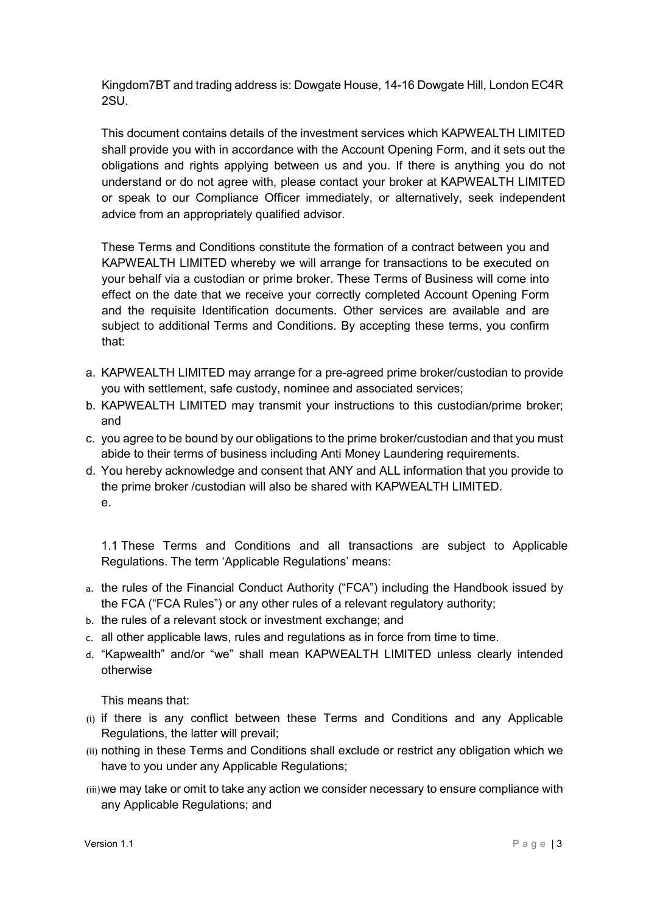Trading address is: C/O Jellyfish Ltd, Kapwealth, 28th Floor, The Shard, 32 London Bridge Street, London, SE1 9SG, United Kingdom.

This document contains details of the investment services which KAPWEALTH LIMITED shall provide you with in accordance with the Account Opening Form, and it sets out the obligations and rights applying between us and you. If there is anything you do not understand or do not agree with, please contact your broker at KAPWEALTH LIMITED or speak to our Compliance Officer immediately, or alternatively, seek independent advice from an appropriately qualified advisor.

These Terms and Conditions constitute the formation of a contract between you and KAPWEALTH LIMITED whereby we will arrange for transactions to be executed on your behalf via a custodian or prime broker. These Terms of Business will come into effect on the date that we receive your correctly completed Account Opening Form and the requisite Identification documents. Other services are available and are subject to additional Terms and Conditions. By accepting these terms, you confirm that:

- a. KAPWEALTH LIMITED may arrange for a pre-agreed prime broker/custodian to provide you with settlement, safe custody, nominee and associated services;
- b. KAPWEALTH LIMITED may transmit your instructions to this custodian/prime broker; and
- c. you agree to be bound by our obligations to the prime broker/custodian and that you must abide to their terms of business including Anti Money Laundering requirements.
- d. You hereby acknowledge and consent that ANY and ALL information that you provide to the prime broker /custodian will also be shared with KAPWEALTH LIMITED. e.

1.1 These Terms and Conditions and all transactions are subject to Applicable Regulations. The term 'Applicable Regulations' means:

- a. the rules of the Financial Conduct Authority ("FCA") including the Handbook issued by the FCA ("FCA Rules") or any other rules of a relevant regulatory authority;
- b. the rules of a relevant stock or investment exchange; and
- c. all other applicable laws, rules and regulations as in force from time to time.
- d. "Kapwealth" and/or "we" shall mean KAPWEALTH LIMITED unless clearly intended otherwise

This means that:

- (i) if there is any conflict between these Terms and Conditions and any Applicable Regulations, the latter will prevail;
- (ii) nothing in these Terms and Conditions shall exclude or restrict any obligation which we have to you under any Applicable Regulations;
- (iii)we may take or omit to take any action we consider necessary to ensure compliance with any Applicable Regulations; and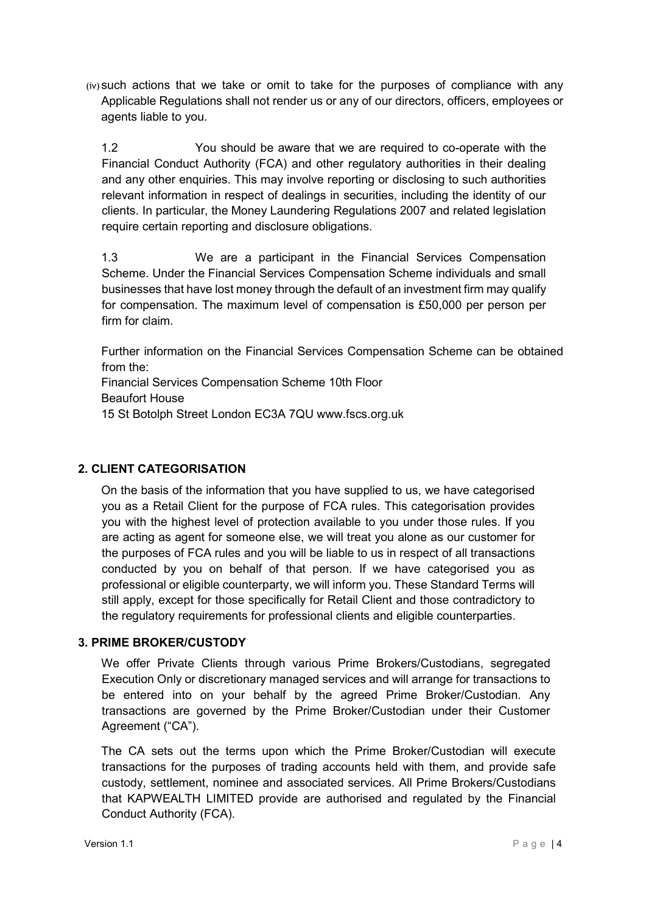$(iv)$  such actions that we take or omit to take for the purposes of compliance with any Applicable Regulations shall not render us or any of our directors, officers, employees or agents liable to you.

1.2 You should be aware that we are required to co-operate with the Financial Conduct Authority (FCA) and other regulatory authorities in their dealing and any other enquiries. This may involve reporting or disclosing to such authorities relevant information in respect of dealings in securities, including the identity of our clients. In particular, the Money Laundering Regulations 2007 and related legislation require certain reporting and disclosure obligations.

1.3 We are a participant in the Financial Services Compensation Scheme. Under the Financial Services Compensation Scheme individuals and small businesses that have lost money through the default of an investment firm may qualify for compensation. The maximum level of compensation is £85,000 per person per firm for claim.

Further information on the Financial Services Compensation Scheme can be obtained from the:

Financial Services Compensation Scheme 10th Floor Beaufort House

15 St Botolph Street London EC3A 7QU [www.fscs.org.uk](http://www.fscs.org.uk/)

## **2. CLIENT CATEGORISATION**

On the basis of the information that you have supplied to us, we have categorised you as a Retail Client for the purpose of FCA rules. This categorisation provides you with the highest level of protection available to you under those rules. If you are acting as agent for someone else, we will treat you alone as our customer for the purposes of FCA rules and you will be liable to us in respect of all transactions conducted by you on behalf of that person. If we have categorised you as professional or eligible counterparty, we will inform you. These Standard Terms will still apply, except for those specifically for Retail Client and those contradictory to the regulatory requirements for professional clients and eligible counterparties.

#### **3. PRIME BROKER/CUSTODY**

We offer Private Clients through various Prime Brokers/Custodians, segregated Execution Only or discretionary managed services and will arrange for transactions to be entered into on your behalf by the agreed Prime Broker/Custodian. Any transactions are governed by the Prime Broker/Custodian under their Customer Agreement ("CA").

The CA sets out the terms upon which the Prime Broker/Custodian will execute transactions for the purposes of trading accounts held with them, and provide safe custody, settlement, nominee and associated services. All Prime Brokers/Custodians that KAPWEALTH LIMITED provide are authorised and regulated by the Financial Conduct Authority (FCA).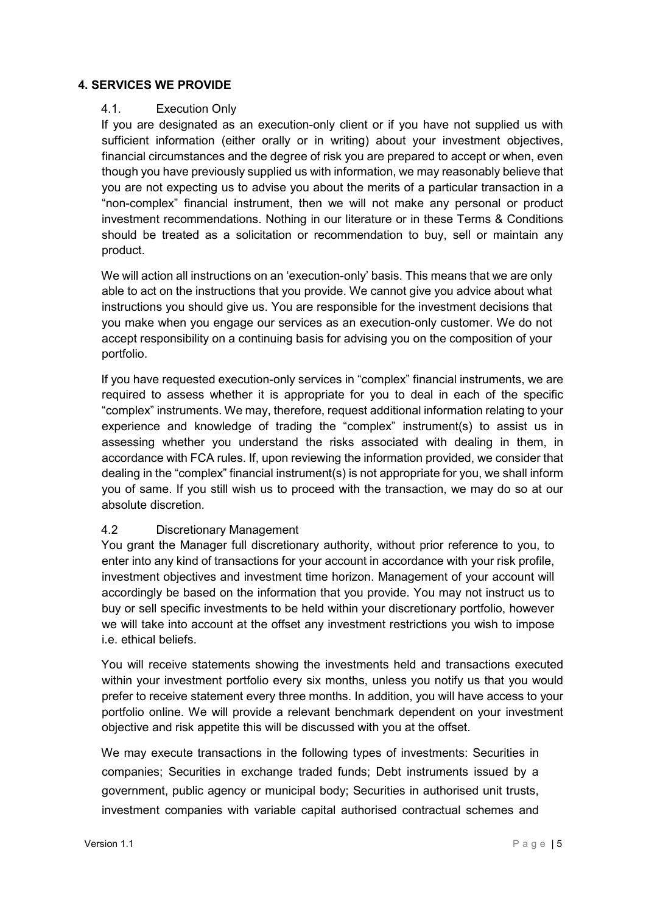#### **4. SERVICES WE PROVIDE**

#### 4.1. Execution Only

If you are designated as an execution-only client or if you have not supplied us with sufficient information (either orally or in writing) about your investment objectives, financial circumstances and the degree of risk you are prepared to accept or when, even though you have previously supplied us with information, we may reasonably believe that you are not expecting us to advise you about the merits of a particular transaction in a "non-complex" financial instrument, then we will not make any personal or product investment recommendations. Nothing in our literature or in these Terms & Conditions should be treated as a solicitation or recommendation to buy, sell or maintain any product.

We will action all instructions on an 'execution-only' basis. This means that we are only able to act on the instructions that you provide. We cannot give you advice about what instructions you should give us. You are responsible for the investment decisions that you make when you engage our services as an execution-only customer. We do not accept responsibility on a continuing basis for advising you on the composition of your portfolio.

If you have requested execution-only services in "complex" financial instruments, we are required to assess whether it is appropriate for you to deal in each of the specific "complex" instruments. We may, therefore, request additional information relating to your experience and knowledge of trading the "complex" instrument(s) to assist us in assessing whether you understand the risks associated with dealing in them, in accordance with FCA rules. If, upon reviewing the information provided, we consider that dealing in the "complex" financial instrument(s) is not appropriate for you, we shall inform you of same. If you still wish us to proceed with the transaction, we may do so at our absolute discretion.

### 4.2 Discretionary Management

You grant the Manager full discretionary authority, without prior reference to you, to enter into any kind of transactions for your account in accordance with your risk profile, investment objectives and investment time horizon. Management of your account will accordingly be based on the information that you provide. You may not instruct us to buy or sell specific investments to be held within your discretionary portfolio, however we will take into account at the offset any investment restrictions you wish to impose i.e. ethical beliefs.

You will receive statements showing the investments held and transactions executed within your investment portfolio every six months, unless you notify us that you would prefer to receive statement every three months. In addition, you will have access to your portfolio online. We will provide a relevant benchmark dependent on your investment objective and risk appetite this will be discussed with you at the offset.

We may execute transactions in the following types of investments: Securities in companies; Securities in exchange traded funds; Debt instruments issued by a government, public agency or municipal body; Securities in authorised unit trusts, investment companies with variable capital authorised contractual schemes and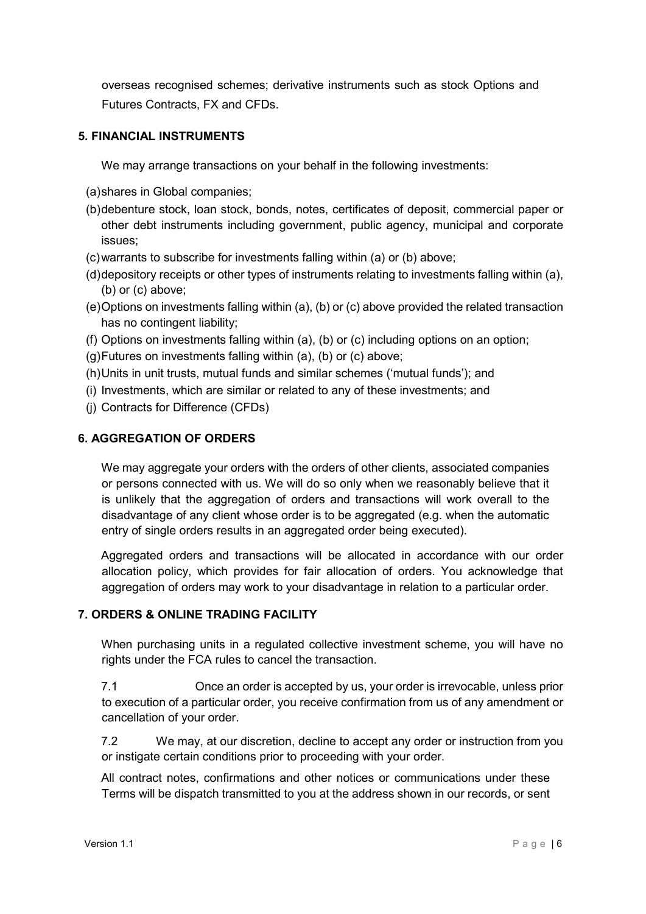overseas recognised schemes; derivative instruments such as stock Options and Futures Contracts, FX and CFDs.

## **5. FINANCIAL INSTRUMENTS**

We may arrange transactions on your behalf in the following investments:

- (a)shares in Global companies;
- (b)debenture stock, loan stock, bonds, notes, certificates of deposit, commercial paper or other debt instruments including government, public agency, municipal and corporate issues;
- (c) warrants to subscribe for investments falling within (a) or (b) above;
- (d)depository receipts or other types of instruments relating to investments falling within (a), (b) or (c) above;
- (e)Options on investments falling within (a), (b) or (c) above provided the related transaction has no contingent liability;
- (f) Options on investments falling within (a), (b) or (c) including options on an option;
- (g)Futures on investments falling within (a), (b) or (c) above;
- (h)Units in unit trusts, mutual funds and similar schemes ('mutual funds'); and
- (i) Investments, which are similar or related to any of these investments; and
- (j) Contracts for Difference (CFDs)

## **6. AGGREGATION OF ORDERS**

We may aggregate your orders with the orders of other clients, associated companies or persons connected with us. We will do so only when we reasonably believe that it is unlikely that the aggregation of orders and transactions will work overall to the disadvantage of any client whose order is to be aggregated (e.g. when the automatic entry of single orders results in an aggregated order being executed).

Aggregated orders and transactions will be allocated in accordance with our order allocation policy, which provides for fair allocation of orders. You acknowledge that aggregation of orders may work to your disadvantage in relation to a particular order.

## **7. ORDERS & ONLINE TRADING FACILITY**

When purchasing units in a regulated collective investment scheme, you will have no rights under the FCA rules to cancel the transaction.

7.1 Once an order is accepted by us, your order is irrevocable, unless prior to execution of a particular order, you receive confirmation from us of any amendment or cancellation of your order.

7.2 We may, at our discretion, decline to accept any order or instruction from you or instigate certain conditions prior to proceeding with your order.

All contract notes, confirmations and other notices or communications under these Terms will be dispatch transmitted to you at the address shown in our records, or sent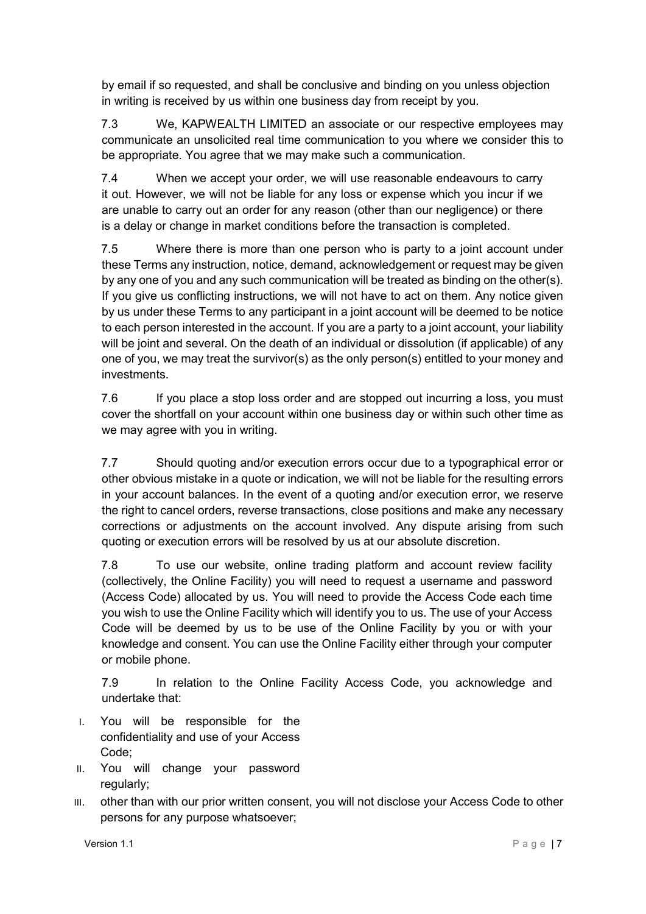by email if so requested, and shall be conclusive and binding on you unless objection in writing is received by us within one business day from receipt by you.

7.3 We, KAPWEALTH LIMITED an associate or our respective employees may communicate an unsolicited real time communication to you where we consider this to be appropriate. You agree that we may make such a communication.

7.4 When we accept your order, we will use reasonable endeavours to carry it out. However, we will not be liable for any loss or expense which you incur if we are unable to carry out an order for any reason (other than our negligence) or there is a delay or change in market conditions before the transaction is completed.

7.5 Where there is more than one person who is party to a joint account under these Terms any instruction, notice, demand, acknowledgement or request may be given by any one of you and any such communication will be treated as binding on the other(s). If you give us conflicting instructions, we will not have to act on them. Any notice given by us under these Terms to any participant in a joint account will be deemed to be notice to each person interested in the account. If you are a party to a joint account, your liability will be joint and several. On the death of an individual or dissolution (if applicable) of any one of you, we may treat the survivor(s) as the only person(s) entitled to your money and investments.

7.6 If you place a stop loss order and are stopped out incurring a loss, you must cover the shortfall on your account within one business day or within such other time as we may agree with you in writing.

7.7 Should quoting and/or execution errors occur due to a typographical error or other obvious mistake in a quote or indication, we will not be liable for the resulting errors in your account balances. In the event of a quoting and/or execution error, we reserve the right to cancel orders, reverse transactions, close positions and make any necessary corrections or adjustments on the account involved. Any dispute arising from such quoting or execution errors will be resolved by us at our absolute discretion.

7.8 To use our website, online trading platform and account review facility (collectively, the Online Facility) you will need to request a username and password (Access Code) allocated by us. You will need to provide the Access Code each time you wish to use the Online Facility which will identify you to us. The use of your Access Code will be deemed by us to be use of the Online Facility by you or with your knowledge and consent. You can use the Online Facility either through your computer or mobile phone.

7.9 In relation to the Online Facility Access Code, you acknowledge and undertake that:

- I. You will be responsible for the confidentiality and use of your Access Code;
- II. You will change your password regularly;
- III. other than with our prior written consent, you will not disclose your Access Code to other persons for any purpose whatsoever;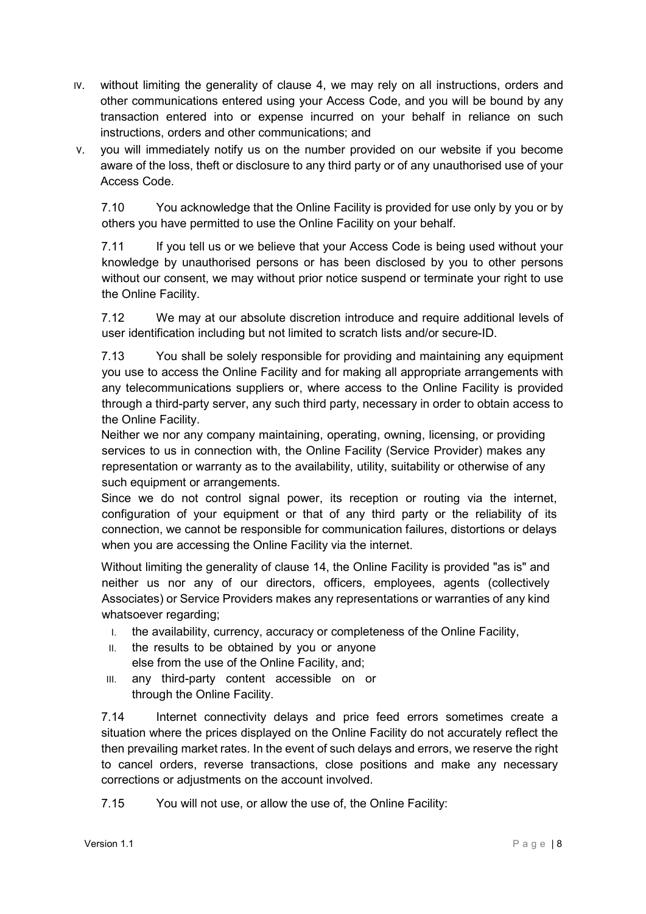- IV. without limiting the generality of clause 4, we may rely on all instructions, orders and other communications entered using your Access Code, and you will be bound by any transaction entered into or expense incurred on your behalf in reliance on such instructions, orders and other communications; and
- V. you will immediately notify us on the number provided on our website if you become aware of the loss, theft or disclosure to any third party or of any unauthorised use of your Access Code.

7.10 You acknowledge that the Online Facility is provided for use only by you or by others you have permitted to use the Online Facility on your behalf.

7.11 If you tell us or we believe that your Access Code is being used without your knowledge by unauthorised persons or has been disclosed by you to other persons without our consent, we may without prior notice suspend or terminate your right to use the Online Facility.

7.12 We may at our absolute discretion introduce and require additional levels of user identification including but not limited to scratch lists and/or secure-ID.

7.13 You shall be solely responsible for providing and maintaining any equipment you use to access the Online Facility and for making all appropriate arrangements with any telecommunications suppliers or, where access to the Online Facility is provided through a third-party server, any such third party, necessary in order to obtain access to the Online Facility.

Neither we nor any company maintaining, operating, owning, licensing, or providing services to us in connection with, the Online Facility (Service Provider) makes any representation or warranty as to the availability, utility, suitability or otherwise of any such equipment or arrangements.

Since we do not control signal power, its reception or routing via the internet, configuration of your equipment or that of any third party or the reliability of its connection, we cannot be responsible for communication failures, distortions or delays when you are accessing the Online Facility via the internet.

Without limiting the generality of clause 14, the Online Facility is provided "as is" and neither us nor any of our directors, officers, employees, agents (collectively Associates) or Service Providers makes any representations or warranties of any kind whatsoever regarding;

- I. the availability, currency, accuracy or completeness of the Online Facility,
- II. the results to be obtained by you or anyone else from the use of the Online Facility, and;
- III. any third-party content accessible on or through the Online Facility.

7.14 Internet connectivity delays and price feed errors sometimes create a situation where the prices displayed on the Online Facility do not accurately reflect the then prevailing market rates. In the event of such delays and errors, we reserve the right to cancel orders, reverse transactions, close positions and make any necessary corrections or adjustments on the account involved.

7.15 You will not use, or allow the use of, the Online Facility: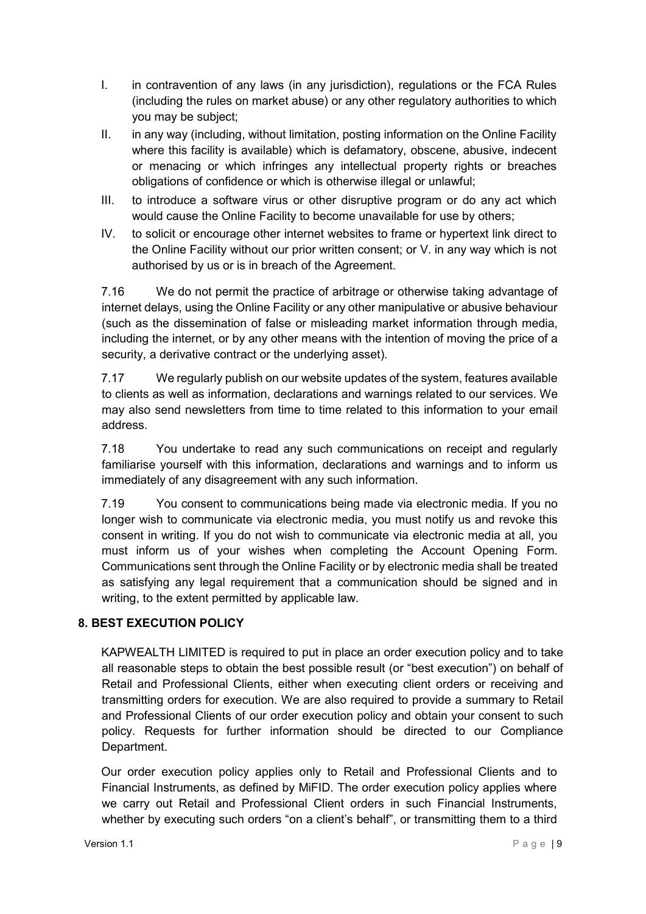- I. in contravention of any laws (in any jurisdiction), regulations or the FCA Rules (including the rules on market abuse) or any other regulatory authorities to which you may be subject;
- II. in any way (including, without limitation, posting information on the Online Facility where this facility is available) which is defamatory, obscene, abusive, indecent or menacing or which infringes any intellectual property rights or breaches obligations of confidence or which is otherwise illegal or unlawful;
- III. to introduce a software virus or other disruptive program or do any act which would cause the Online Facility to become unavailable for use by others;
- IV. to solicit or encourage other internet websites to frame or hypertext link direct to the Online Facility without our prior written consent; or V. in any way which is not authorised by us or is in breach of the Agreement.

7.16 We do not permit the practice of arbitrage or otherwise taking advantage of internet delays, using the Online Facility or any other manipulative or abusive behaviour (such as the dissemination of false or misleading market information through media, including the internet, or by any other means with the intention of moving the price of a security, a derivative contract or the underlying asset).

7.17 We regularly publish on our website updates of the system, features available to clients as well as information, declarations and warnings related to our services. We may also send newsletters from time to time related to this information to your email address.

7.18 You undertake to read any such communications on receipt and regularly familiarise yourself with this information, declarations and warnings and to inform us immediately of any disagreement with any such information.

7.19 You consent to communications being made via electronic media. If you no longer wish to communicate via electronic media, you must notify us and revoke this consent in writing. If you do not wish to communicate via electronic media at all, you must inform us of your wishes when completing the Account Opening Form. Communications sent through the Online Facility or by electronic media shall be treated as satisfying any legal requirement that a communication should be signed and in writing, to the extent permitted by applicable law.

## **8. BEST EXECUTION POLICY**

KAPWEALTH LIMITED is required to put in place an order execution policy and to take all reasonable steps to obtain the best possible result (or "best execution") on behalf of Retail and Professional Clients, either when executing client orders or receiving and transmitting orders for execution. We are also required to provide a summary to Retail and Professional Clients of our order execution policy and obtain your consent to such policy. Requests for further information should be directed to our Compliance Department.

Our order execution policy applies only to Retail and Professional Clients and to Financial Instruments, as defined by MiFID. The order execution policy applies where we carry out Retail and Professional Client orders in such Financial Instruments, whether by executing such orders "on a client's behalf", or transmitting them to a third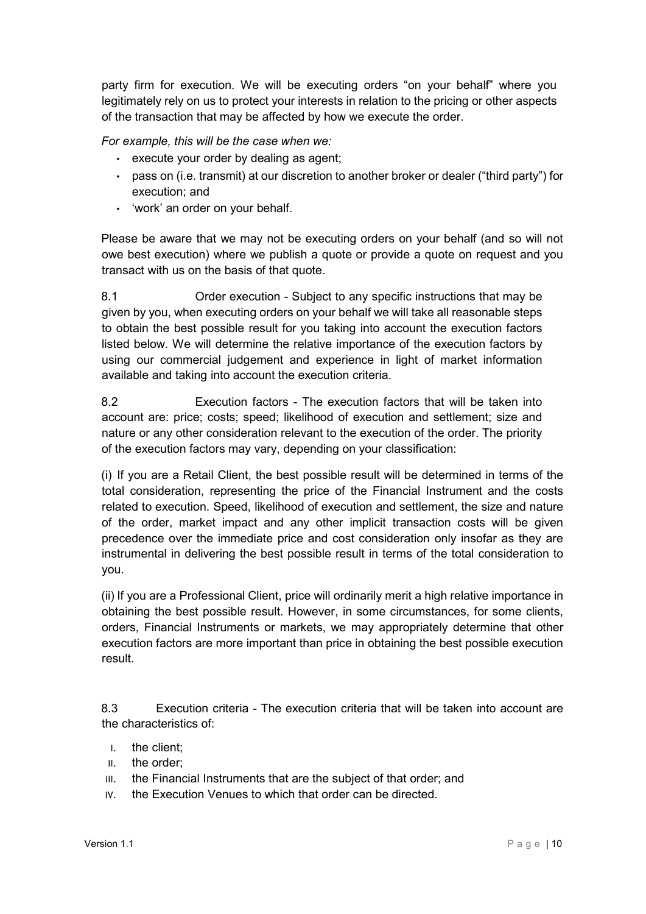party firm for execution. We will be executing orders "on your behalf" where you legitimately rely on us to protect your interests in relation to the pricing or other aspects of the transaction that may be affected by how we execute the order.

*For example, this will be the case when we:* 

- execute your order by dealing as agent;
- pass on (i.e. transmit) at our discretion to another broker or dealer ("third party") for execution; and
- 'work' an order on your behalf.

Please be aware that we may not be executing orders on your behalf (and so will not owe best execution) where we publish a quote or provide a quote on request and you transact with us on the basis of that quote.

8.1 Order execution - Subject to any specific instructions that may be given by you, when executing orders on your behalf we will take all reasonable steps to obtain the best possible result for you taking into account the execution factors listed below. We will determine the relative importance of the execution factors by using our commercial judgement and experience in light of market information available and taking into account the execution criteria.

8.2 Execution factors - The execution factors that will be taken into account are: price; costs; speed; likelihood of execution and settlement; size and nature or any other consideration relevant to the execution of the order. The priority of the execution factors may vary, depending on your classification:

(i) If you are a Retail Client, the best possible result will be determined in terms of the total consideration, representing the price of the Financial Instrument and the costs related to execution. Speed, likelihood of execution and settlement, the size and nature of the order, market impact and any other implicit transaction costs will be given precedence over the immediate price and cost consideration only insofar as they are instrumental in delivering the best possible result in terms of the total consideration to you.

(ii) If you are a Professional Client, price will ordinarily merit a high relative importance in obtaining the best possible result. However, in some circumstances, for some clients, orders, Financial Instruments or markets, we may appropriately determine that other execution factors are more important than price in obtaining the best possible execution result.

8.3 Execution criteria - The execution criteria that will be taken into account are the characteristics of:

- I. the client;
- II. the order;
- III. the Financial Instruments that are the subject of that order; and
- IV. the Execution Venues to which that order can be directed.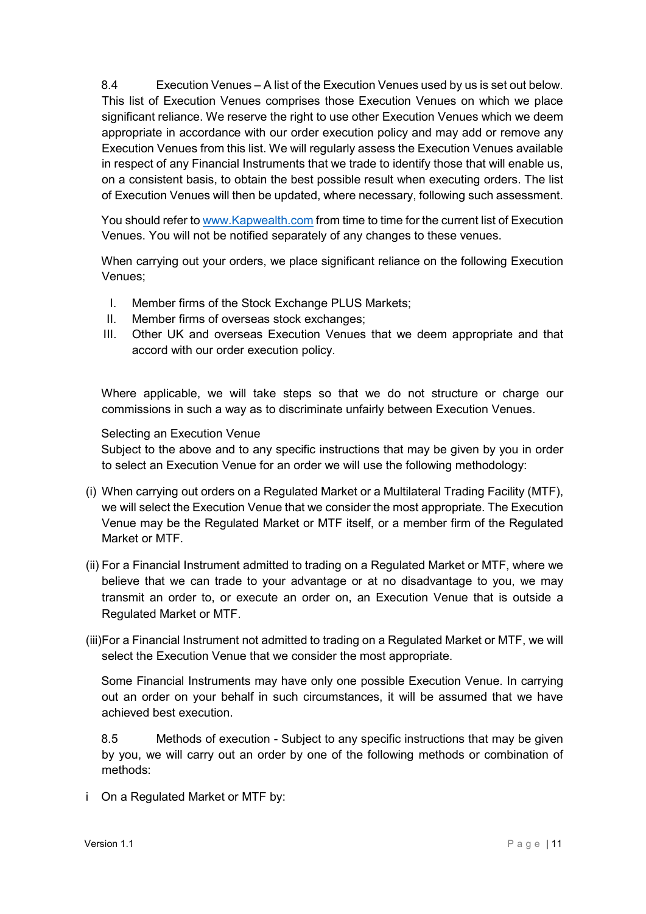8.4 Execution Venues – A list of the Execution Venues used by us is set out below. This list of Execution Venues comprises those Execution Venues on which we place significant reliance. We reserve the right to use other Execution Venues which we deem appropriate in accordance with our order execution policy and may add or remove any Execution Venues from this list. We will regularly assess the Execution Venues available in respect of any Financial Instruments that we trade to identify those that will enable us, on a consistent basis, to obtain the best possible result when executing orders. The list of Execution Venues will then be updated, where necessary, following such assessment.

You should refer t[o](http://www.kapsecure.com/) [www.Kapwealth.com](http://www.kapwealth.com/) [fr](http://www.kapsecure.com/)om time to time for the current list of Execution Venues. You will not be notified separately of any changes to these venues.

When carrying out your orders, we place significant reliance on the following Execution Venues;

- I. Member firms of the Stock Exchange PLUS Markets;
- II. Member firms of overseas stock exchanges;
- III. Other UK and overseas Execution Venues that we deem appropriate and that accord with our order execution policy.

Where applicable, we will take steps so that we do not structure or charge our commissions in such a way as to discriminate unfairly between Execution Venues.

#### Selecting an Execution Venue

Subject to the above and to any specific instructions that may be given by you in order to select an Execution Venue for an order we will use the following methodology:

- (i) When carrying out orders on a Regulated Market or a Multilateral Trading Facility (MTF), we will select the Execution Venue that we consider the most appropriate. The Execution Venue may be the Regulated Market or MTF itself, or a member firm of the Regulated Market or MTF.
- (ii) For a Financial Instrument admitted to trading on a Regulated Market or MTF, where we believe that we can trade to your advantage or at no disadvantage to you, we may transmit an order to, or execute an order on, an Execution Venue that is outside a Regulated Market or MTF.
- (iii)For a Financial Instrument not admitted to trading on a Regulated Market or MTF, we will select the Execution Venue that we consider the most appropriate.

Some Financial Instruments may have only one possible Execution Venue. In carrying out an order on your behalf in such circumstances, it will be assumed that we have achieved best execution.

8.5 Methods of execution - Subject to any specific instructions that may be given by you, we will carry out an order by one of the following methods or combination of methods:

i On a Regulated Market or MTF by: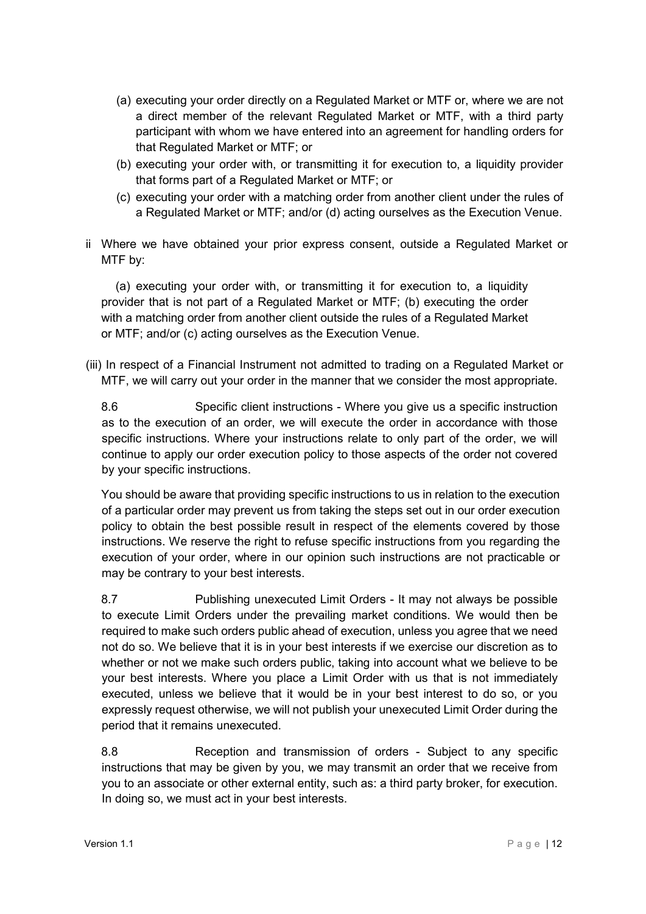- (a) executing your order directly on a Regulated Market or MTF or, where we are not a direct member of the relevant Regulated Market or MTF, with a third party participant with whom we have entered into an agreement for handling orders for that Regulated Market or MTF; or
- (b) executing your order with, or transmitting it for execution to, a liquidity provider that forms part of a Regulated Market or MTF; or
- (c) executing your order with a matching order from another client under the rules of a Regulated Market or MTF; and/or (d) acting ourselves as the Execution Venue.
- ii Where we have obtained your prior express consent, outside a Regulated Market or MTF by:

(a) executing your order with, or transmitting it for execution to, a liquidity provider that is not part of a Regulated Market or MTF; (b) executing the order with a matching order from another client outside the rules of a Regulated Market or MTF; and/or (c) acting ourselves as the Execution Venue.

(iii) In respect of a Financial Instrument not admitted to trading on a Regulated Market or MTF, we will carry out your order in the manner that we consider the most appropriate.

8.6 Specific client instructions - Where you give us a specific instruction as to the execution of an order, we will execute the order in accordance with those specific instructions. Where your instructions relate to only part of the order, we will continue to apply our order execution policy to those aspects of the order not covered by your specific instructions.

You should be aware that providing specific instructions to us in relation to the execution of a particular order may prevent us from taking the steps set out in our order execution policy to obtain the best possible result in respect of the elements covered by those instructions. We reserve the right to refuse specific instructions from you regarding the execution of your order, where in our opinion such instructions are not practicable or may be contrary to your best interests.

8.7 Publishing unexecuted Limit Orders - It may not always be possible to execute Limit Orders under the prevailing market conditions. We would then be required to make such orders public ahead of execution, unless you agree that we need not do so. We believe that it is in your best interests if we exercise our discretion as to whether or not we make such orders public, taking into account what we believe to be your best interests. Where you place a Limit Order with us that is not immediately executed, unless we believe that it would be in your best interest to do so, or you expressly request otherwise, we will not publish your unexecuted Limit Order during the period that it remains unexecuted.

8.8 Reception and transmission of orders - Subject to any specific instructions that may be given by you, we may transmit an order that we receive from you to an associate or other external entity, such as: a third party broker, for execution. In doing so, we must act in your best interests.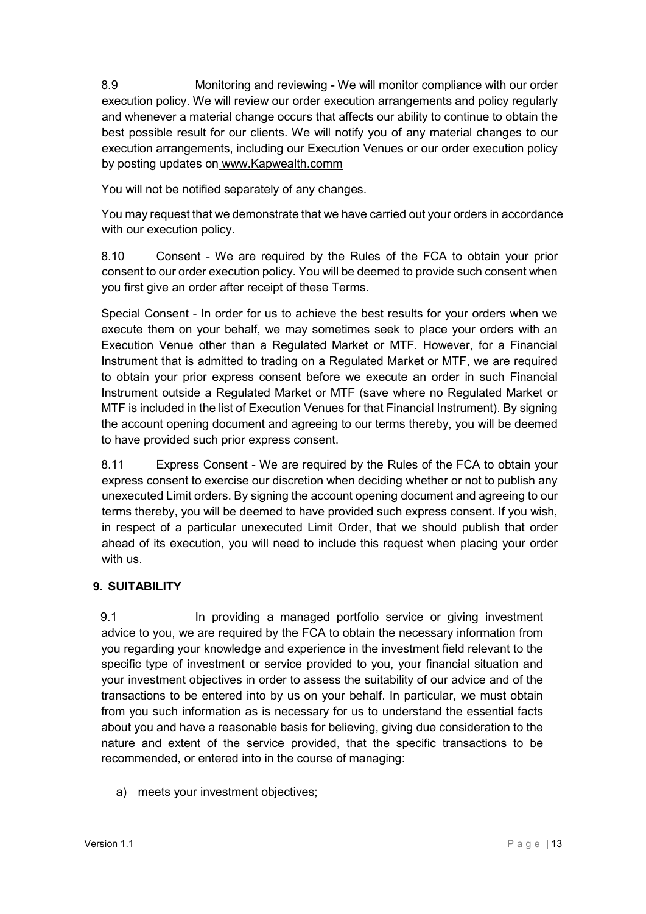8.9 Monitoring and reviewing - We will monitor compliance with our order execution policy. We will review our order execution arrangements and policy regularly and whenever a material change occurs that affects our ability to continue to obtain the best possible result for our clients. We will notify you of any material changes to our execution arrangements, including our Execution Venues or our order execution policy by posting updates o[n](http://www.kapsecure.com/) [www.Kapwealth.comm](http://www.kapsecure.com/)

You will not be notified separately of any changes.

You may request that we demonstrate that we have carried out your orders in accordance with our execution policy.

8.10 Consent - We are required by the Rules of the FCA to obtain your prior consent to our order execution policy. You will be deemed to provide such consent when you first give an order after receipt of these Terms.

Special Consent - In order for us to achieve the best results for your orders when we execute them on your behalf, we may sometimes seek to place your orders with an Execution Venue other than a Regulated Market or MTF. However, for a Financial Instrument that is admitted to trading on a Regulated Market or MTF, we are required to obtain your prior express consent before we execute an order in such Financial Instrument outside a Regulated Market or MTF (save where no Regulated Market or MTF is included in the list of Execution Venues for that Financial Instrument). By signing the account opening document and agreeing to our terms thereby, you will be deemed to have provided such prior express consent.

8.11 Express Consent - We are required by the Rules of the FCA to obtain your express consent to exercise our discretion when deciding whether or not to publish any unexecuted Limit orders. By signing the account opening document and agreeing to our terms thereby, you will be deemed to have provided such express consent. If you wish, in respect of a particular unexecuted Limit Order, that we should publish that order ahead of its execution, you will need to include this request when placing your order with us.

## **9. SUITABILITY**

9.1 In providing a managed portfolio service or giving investment advice to you, we are required by the FCA to obtain the necessary information from you regarding your knowledge and experience in the investment field relevant to the specific type of investment or service provided to you, your financial situation and your investment objectives in order to assess the suitability of our advice and of the transactions to be entered into by us on your behalf. In particular, we must obtain from you such information as is necessary for us to understand the essential facts about you and have a reasonable basis for believing, giving due consideration to the nature and extent of the service provided, that the specific transactions to be recommended, or entered into in the course of managing:

a) meets your investment objectives;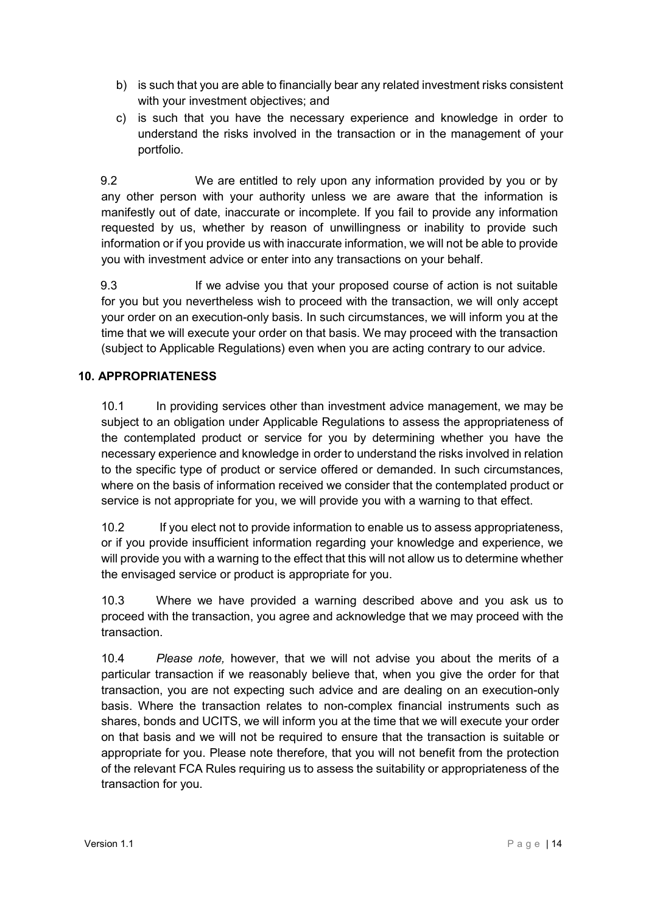- b) is such that you are able to financially bear any related investment risks consistent with your investment objectives; and
- c) is such that you have the necessary experience and knowledge in order to understand the risks involved in the transaction or in the management of your portfolio.

9.2 We are entitled to rely upon any information provided by you or by any other person with your authority unless we are aware that the information is manifestly out of date, inaccurate or incomplete. If you fail to provide any information requested by us, whether by reason of unwillingness or inability to provide such information or if you provide us with inaccurate information, we will not be able to provide you with investment advice or enter into any transactions on your behalf.

9.3 If we advise you that your proposed course of action is not suitable for you but you nevertheless wish to proceed with the transaction, we will only accept your order on an execution-only basis. In such circumstances, we will inform you at the time that we will execute your order on that basis. We may proceed with the transaction (subject to Applicable Regulations) even when you are acting contrary to our advice.

# **10. APPROPRIATENESS**

10.1 In providing services other than investment advice management, we may be subject to an obligation under Applicable Regulations to assess the appropriateness of the contemplated product or service for you by determining whether you have the necessary experience and knowledge in order to understand the risks involved in relation to the specific type of product or service offered or demanded. In such circumstances, where on the basis of information received we consider that the contemplated product or service is not appropriate for you, we will provide you with a warning to that effect.

10.2 If you elect not to provide information to enable us to assess appropriateness, or if you provide insufficient information regarding your knowledge and experience, we will provide you with a warning to the effect that this will not allow us to determine whether the envisaged service or product is appropriate for you.

10.3 Where we have provided a warning described above and you ask us to proceed with the transaction, you agree and acknowledge that we may proceed with the transaction.

10.4 *Please note,* however, that we will not advise you about the merits of a particular transaction if we reasonably believe that, when you give the order for that transaction, you are not expecting such advice and are dealing on an execution-only basis. Where the transaction relates to non-complex financial instruments such as shares, bonds and UCITS, we will inform you at the time that we will execute your order on that basis and we will not be required to ensure that the transaction is suitable or appropriate for you. Please note therefore, that you will not benefit from the protection of the relevant FCA Rules requiring us to assess the suitability or appropriateness of the transaction for you.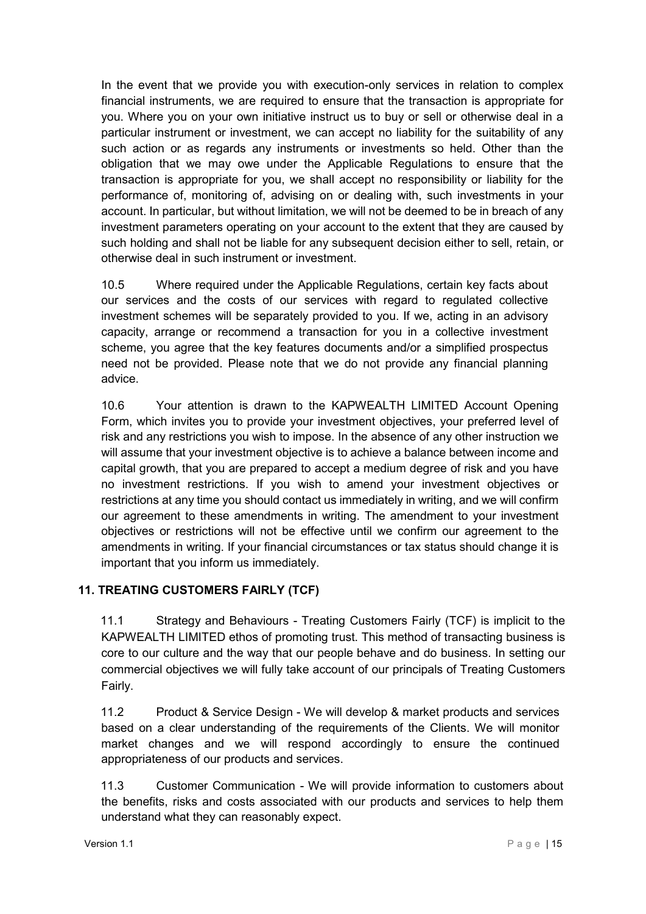In the event that we provide you with execution-only services in relation to complex financial instruments, we are required to ensure that the transaction is appropriate for you. Where you on your own initiative instruct us to buy or sell or otherwise deal in a particular instrument or investment, we can accept no liability for the suitability of any such action or as regards any instruments or investments so held. Other than the obligation that we may owe under the Applicable Regulations to ensure that the transaction is appropriate for you, we shall accept no responsibility or liability for the performance of, monitoring of, advising on or dealing with, such investments in your account. In particular, but without limitation, we will not be deemed to be in breach of any investment parameters operating on your account to the extent that they are caused by such holding and shall not be liable for any subsequent decision either to sell, retain, or otherwise deal in such instrument or investment.

10.5 Where required under the Applicable Regulations, certain key facts about our services and the costs of our services with regard to regulated collective investment schemes will be separately provided to you. If we, acting in an advisory capacity, arrange or recommend a transaction for you in a collective investment scheme, you agree that the key features documents and/or a simplified prospectus need not be provided. Please note that we do not provide any financial planning advice.

10.6 Your attention is drawn to the KAPWEALTH LIMITED Account Opening Form, which invites you to provide your investment objectives, your preferred level of risk and any restrictions you wish to impose. In the absence of any other instruction we will assume that your investment objective is to achieve a balance between income and capital growth, that you are prepared to accept a medium degree of risk and you have no investment restrictions. If you wish to amend your investment objectives or restrictions at any time you should contact us immediately in writing, and we will confirm our agreement to these amendments in writing. The amendment to your investment objectives or restrictions will not be effective until we confirm our agreement to the amendments in writing. If your financial circumstances or tax status should change it is important that you inform us immediately.

# **11. TREATING CUSTOMERS FAIRLY (TCF)**

11.1 Strategy and Behaviours - Treating Customers Fairly (TCF) is implicit to the KAPWEALTH LIMITED ethos of promoting trust. This method of transacting business is core to our culture and the way that our people behave and do business. In setting our commercial objectives we will fully take account of our principals of Treating Customers Fairly.

11.2 Product & Service Design - We will develop & market products and services based on a clear understanding of the requirements of the Clients. We will monitor market changes and we will respond accordingly to ensure the continued appropriateness of our products and services.

11.3 Customer Communication - We will provide information to customers about the benefits, risks and costs associated with our products and services to help them understand what they can reasonably expect.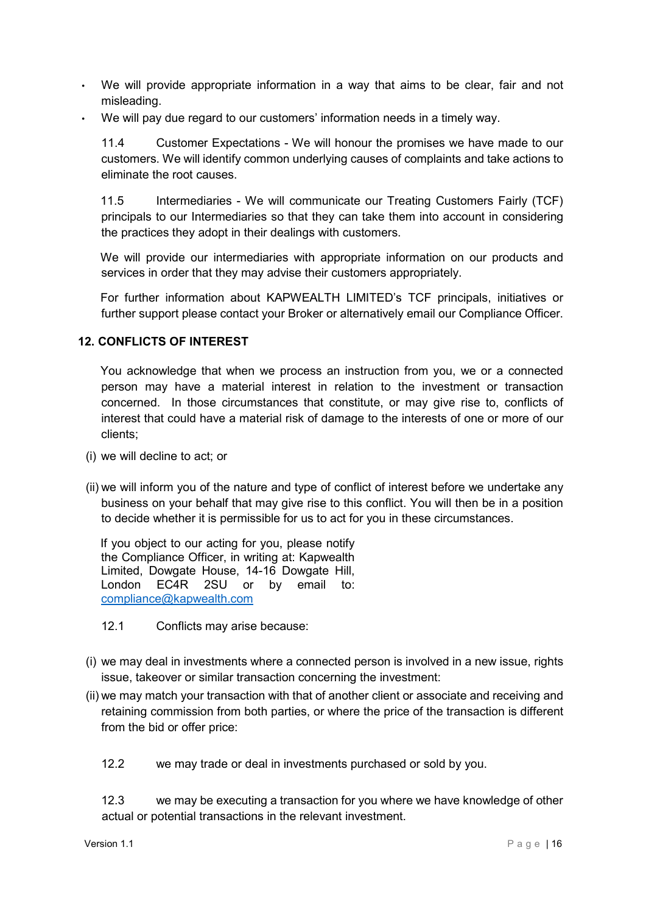- We will provide appropriate information in a way that aims to be clear, fair and not misleading.
- We will pay due regard to our customers' information needs in a timely way.

11.4 Customer Expectations - We will honour the promises we have made to our customers. We will identify common underlying causes of complaints and take actions to eliminate the root causes.

11.5 Intermediaries - We will communicate our Treating Customers Fairly (TCF) principals to our Intermediaries so that they can take them into account in considering the practices they adopt in their dealings with customers.

We will provide our intermediaries with appropriate information on our products and services in order that they may advise their customers appropriately.

For further information about KAPWEALTH LIMITED's TCF principals, initiatives or further support please contact your Broker or alternatively email our Compliance Officer.

## **12. CONFLICTS OF INTEREST**

You acknowledge that when we process an instruction from you, we or a connected person may have a material interest in relation to the investment or transaction concerned. In those circumstances that constitute, or may give rise to, conflicts of interest that could have a material risk of damage to the interests of one or more of our clients;

(i) we will decline to act; or

(ii) we will inform you of the nature and type of conflict of interest before we undertake any business on your behalf that may give rise to this conflict. You will then be in a position to decide whether it is permissible for us to act for you in these circumstances. If you object to our acting for you, please notify the Compliance Officer, in writing at: C/O Jellyfish Ltd, Kapwealth, 28th Floor, The Shard, 32 London Bridge Street, London, SE1 9SG or by email to: compliance@kapwealth.com

- 12.1 Conflicts may arise because:
- (i) we may deal in investments where a connected person is involved in a new issue, rights issue, takeover or similar transaction concerning the investment:
- (ii) we may match your transaction with that of another client or associate and receiving and retaining commission from both parties, or where the price of the transaction is different from the bid or offer price:

12.2 we may trade or deal in investments purchased or sold by you.

12.3 we may be executing a transaction for you where we have knowledge of other actual or potential transactions in the relevant investment.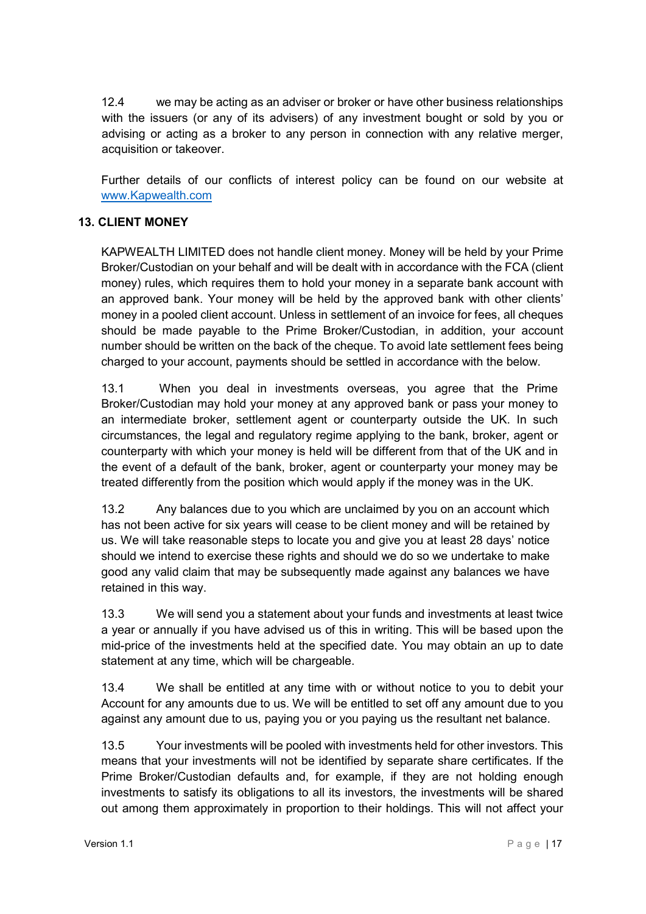12.4 we may be acting as an adviser or broker or have other business relationships with the issuers (or any of its advisers) of any investment bought or sold by you or advising or acting as a broker to any person in connection with any relative merger, acquisition or takeover.

Further details of our conflicts of interest policy can be found on our website a[t](http://www.kapsecure.co/) [www.Kapwealth.com](http://www.kapsecure.co/)

## **13. CLIENT MONEY**

KAPWEALTH LIMITED does not handle client money. Money will be held by your Prime Broker/Custodian on your behalf and will be dealt with in accordance with the FCA (client money) rules, which requires them to hold your money in a separate bank account with an approved bank. Your money will be held by the approved bank with other clients' money in a pooled client account. Unless in settlement of an invoice for fees, all cheques should be made payable to the Prime Broker/Custodian, in addition, your account number should be written on the back of the cheque. To avoid late settlement fees being charged to your account, payments should be settled in accordance with the below.

13.1 When you deal in investments overseas, you agree that the Prime Broker/Custodian may hold your money at any approved bank or pass your money to an intermediate broker, settlement agent or counterparty outside the UK. In such circumstances, the legal and regulatory regime applying to the bank, broker, agent or counterparty with which your money is held will be different from that of the UK and in the event of a default of the bank, broker, agent or counterparty your money may be treated differently from the position which would apply if the money was in the UK.

13.2 Any balances due to you which are unclaimed by you on an account which has not been active for six years will cease to be client money and will be retained by us. We will take reasonable steps to locate you and give you at least 28 days' notice should we intend to exercise these rights and should we do so we undertake to make good any valid claim that may be subsequently made against any balances we have retained in this way.

13.3 We will send you a statement about your funds and investments at least twice a year or annually if you have advised us of this in writing. This will be based upon the mid-price of the investments held at the specified date. You may obtain an up to date statement at any time, which will be chargeable.

13.4 We shall be entitled at any time with or without notice to you to debit your Account for any amounts due to us. We will be entitled to set off any amount due to you against any amount due to us, paying you or you paying us the resultant net balance.

13.5 Your investments will be pooled with investments held for other investors. This means that your investments will not be identified by separate share certificates. If the Prime Broker/Custodian defaults and, for example, if they are not holding enough investments to satisfy its obligations to all its investors, the investments will be shared out among them approximately in proportion to their holdings. This will not affect your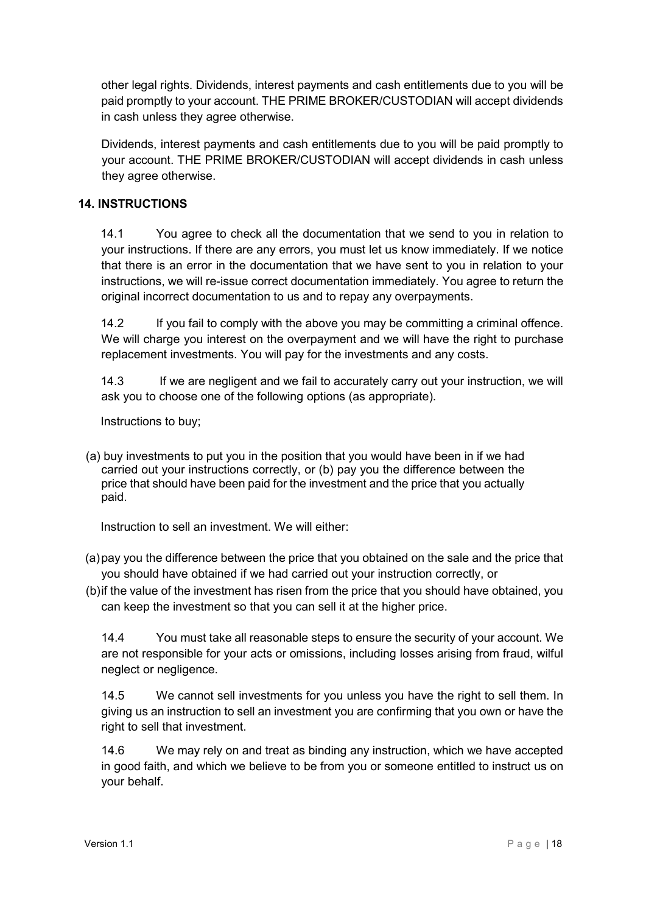other legal rights. Dividends, interest payments and cash entitlements due to you will be paid promptly to your account. THE PRIME BROKER/CUSTODIAN will accept dividends in cash unless they agree otherwise.

Dividends, interest payments and cash entitlements due to you will be paid promptly to your account. THE PRIME BROKER/CUSTODIAN will accept dividends in cash unless they agree otherwise.

## **14. INSTRUCTIONS**

14.1 You agree to check all the documentation that we send to you in relation to your instructions. If there are any errors, you must let us know immediately. If we notice that there is an error in the documentation that we have sent to you in relation to your instructions, we will re-issue correct documentation immediately. You agree to return the original incorrect documentation to us and to repay any overpayments.

14.2 If you fail to comply with the above you may be committing a criminal offence. We will charge you interest on the overpayment and we will have the right to purchase replacement investments. You will pay for the investments and any costs.

14.3 If we are negligent and we fail to accurately carry out your instruction, we will ask you to choose one of the following options (as appropriate).

Instructions to buy;

(a) buy investments to put you in the position that you would have been in if we had carried out your instructions correctly, or (b) pay you the difference between the price that should have been paid for the investment and the price that you actually paid.

Instruction to sell an investment. We will either:

- (a)pay you the difference between the price that you obtained on the sale and the price that you should have obtained if we had carried out your instruction correctly, or
- (b)if the value of the investment has risen from the price that you should have obtained, you can keep the investment so that you can sell it at the higher price.

14.4 You must take all reasonable steps to ensure the security of your account. We are not responsible for your acts or omissions, including losses arising from fraud, wilful neglect or negligence.

14.5 We cannot sell investments for you unless you have the right to sell them. In giving us an instruction to sell an investment you are confirming that you own or have the right to sell that investment.

14.6 We may rely on and treat as binding any instruction, which we have accepted in good faith, and which we believe to be from you or someone entitled to instruct us on your behalf.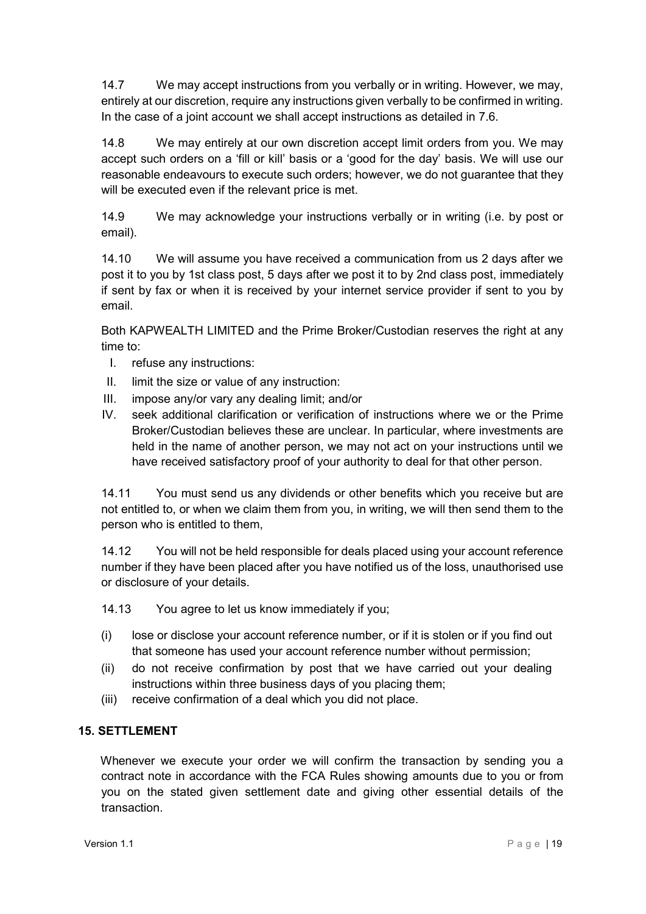14.7 We may accept instructions from you verbally or in writing. However, we may, entirely at our discretion, require any instructions given verbally to be confirmed in writing. In the case of a joint account we shall accept instructions as detailed in 7.6.

14.8 We may entirely at our own discretion accept limit orders from you. We may accept such orders on a 'fill or kill' basis or a 'good for the day' basis. We will use our reasonable endeavours to execute such orders; however, we do not guarantee that they will be executed even if the relevant price is met.

14.9 We may acknowledge your instructions verbally or in writing (i.e. by post or email).

14.10 We will assume you have received a communication from us 2 days after we post it to you by 1st class post, 5 days after we post it to by 2nd class post, immediately if sent by fax or when it is received by your internet service provider if sent to you by email.

Both KAPWEALTH LIMITED and the Prime Broker/Custodian reserves the right at any time to:

- I. refuse any instructions:
- II. limit the size or value of any instruction:
- III. impose any/or vary any dealing limit; and/or
- IV. seek additional clarification or verification of instructions where we or the Prime Broker/Custodian believes these are unclear. In particular, where investments are held in the name of another person, we may not act on your instructions until we have received satisfactory proof of your authority to deal for that other person.

14.11 You must send us any dividends or other benefits which you receive but are not entitled to, or when we claim them from you, in writing, we will then send them to the person who is entitled to them,

14.12 You will not be held responsible for deals placed using your account reference number if they have been placed after you have notified us of the loss, unauthorised use or disclosure of your details.

14.13 You agree to let us know immediately if you;

- (i) lose or disclose your account reference number, or if it is stolen or if you find out that someone has used your account reference number without permission;
- (ii) do not receive confirmation by post that we have carried out your dealing instructions within three business days of you placing them;
- (iii) receive confirmation of a deal which you did not place.

## **15. SETTLEMENT**

Whenever we execute your order we will confirm the transaction by sending you a contract note in accordance with the FCA Rules showing amounts due to you or from you on the stated given settlement date and giving other essential details of the transaction.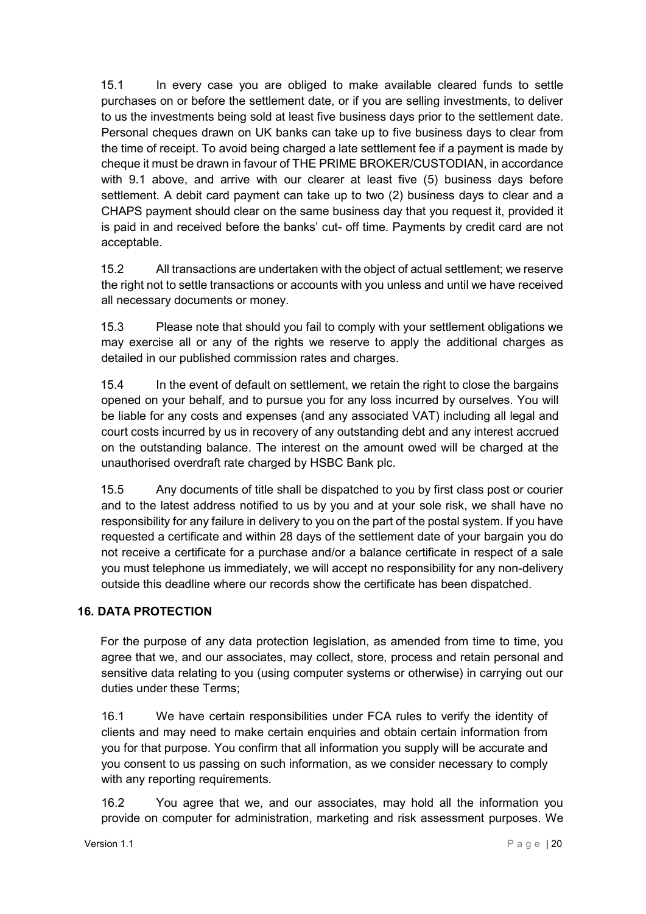15.1 In every case you are obliged to make available cleared funds to settle purchases on or before the settlement date, or if you are selling investments, to deliver to us the investments being sold at least five business days prior to the settlement date. Personal cheques drawn on UK banks can take up to five business days to clear from the time of receipt. To avoid being charged a late settlement fee if a payment is made by cheque it must be drawn in favour of THE PRIME BROKER/CUSTODIAN, in accordance with 9.1 above, and arrive with our clearer at least five (5) business days before settlement. A debit card payment can take up to two (2) business days to clear and a CHAPS payment should clear on the same business day that you request it, provided it is paid in and received before the banks' cut- off time. Payments by credit card are not acceptable.

15.2 All transactions are undertaken with the object of actual settlement; we reserve the right not to settle transactions or accounts with you unless and until we have received all necessary documents or money.

15.3 Please note that should you fail to comply with your settlement obligations we may exercise all or any of the rights we reserve to apply the additional charges as detailed in our published commission rates and charges.

15.4 In the event of default on settlement, we retain the right to close the bargains opened on your behalf, and to pursue you for any loss incurred by ourselves. You will be liable for any costs and expenses (and any associated VAT) including all legal and court costs incurred by us in recovery of any outstanding debt and any interest accrued on the outstanding balance. The interest on the amount owed will be charged at the unauthorised overdraft rate charged by HSBC Bank plc.

15.5 Any documents of title shall be dispatched to you by first class post or courier and to the latest address notified to us by you and at your sole risk, we shall have no responsibility for any failure in delivery to you on the part of the postal system. If you have requested a certificate and within 28 days of the settlement date of your bargain you do not receive a certificate for a purchase and/or a balance certificate in respect of a sale you must telephone us immediately, we will accept no responsibility for any non-delivery outside this deadline where our records show the certificate has been dispatched.

## **16. DATA PROTECTION**

For the purpose of any data protection legislation, as amended from time to time, you agree that we, and our associates, may collect, store, process and retain personal and sensitive data relating to you (using computer systems or otherwise) in carrying out our duties under these Terms;

16.1 We have certain responsibilities under FCA rules to verify the identity of clients and may need to make certain enquiries and obtain certain information from you for that purpose. You confirm that all information you supply will be accurate and you consent to us passing on such information, as we consider necessary to comply with any reporting requirements.

16.2 You agree that we, and our associates, may hold all the information you provide on computer for administration, marketing and risk assessment purposes. We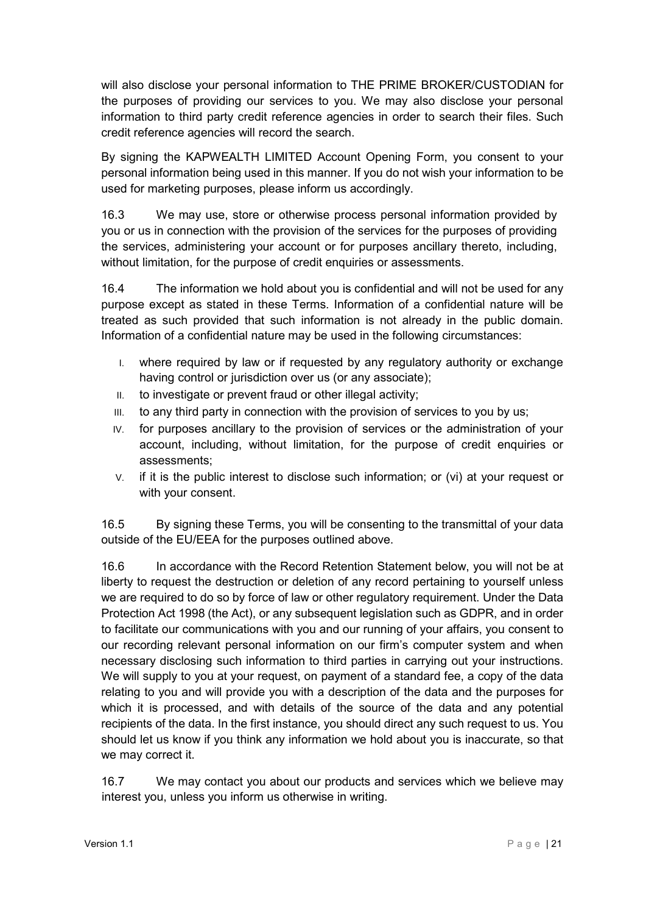will also disclose your personal information to THE PRIME BROKER/CUSTODIAN for the purposes of providing our services to you. We may also disclose your personal information to third party credit reference agencies in order to search their files. Such credit reference agencies will record the search.

By signing the KAPWEALTH LIMITED Account Opening Form, you consent to your personal information being used in this manner. If you do not wish your information to be used for marketing purposes, please inform us accordingly.

16.3 We may use, store or otherwise process personal information provided by you or us in connection with the provision of the services for the purposes of providing the services, administering your account or for purposes ancillary thereto, including, without limitation, for the purpose of credit enquiries or assessments.

16.4 The information we hold about you is confidential and will not be used for any purpose except as stated in these Terms. Information of a confidential nature will be treated as such provided that such information is not already in the public domain. Information of a confidential nature may be used in the following circumstances:

- I. where required by law or if requested by any regulatory authority or exchange having control or jurisdiction over us (or any associate);
- II. to investigate or prevent fraud or other illegal activity;
- III. to any third party in connection with the provision of services to you by us;
- IV. for purposes ancillary to the provision of services or the administration of your account, including, without limitation, for the purpose of credit enquiries or assessments;
- V. if it is the public interest to disclose such information; or (vi) at your request or with your consent.

16.5 By signing these Terms, you will be consenting to the transmittal of your data outside of the EU/EEA for the purposes outlined above.

16.6 In accordance with the Record Retention Statement below, you will not be at liberty to request the destruction or deletion of any record pertaining to yourself unless we are required to do so by force of law or other regulatory requirement. Under the Data Protection Act 1998 (the Act), or any subsequent legislation such as GDPR, and in order to facilitate our communications with you and our running of your affairs, you consent to our recording relevant personal information on our firm's computer system and when necessary disclosing such information to third parties in carrying out your instructions. We will supply to you at your request, on payment of a standard fee, a copy of the data relating to you and will provide you with a description of the data and the purposes for which it is processed, and with details of the source of the data and any potential recipients of the data. In the first instance, you should direct any such request to us. You should let us know if you think any information we hold about you is inaccurate, so that we may correct it.

16.7 We may contact you about our products and services which we believe may interest you, unless you inform us otherwise in writing.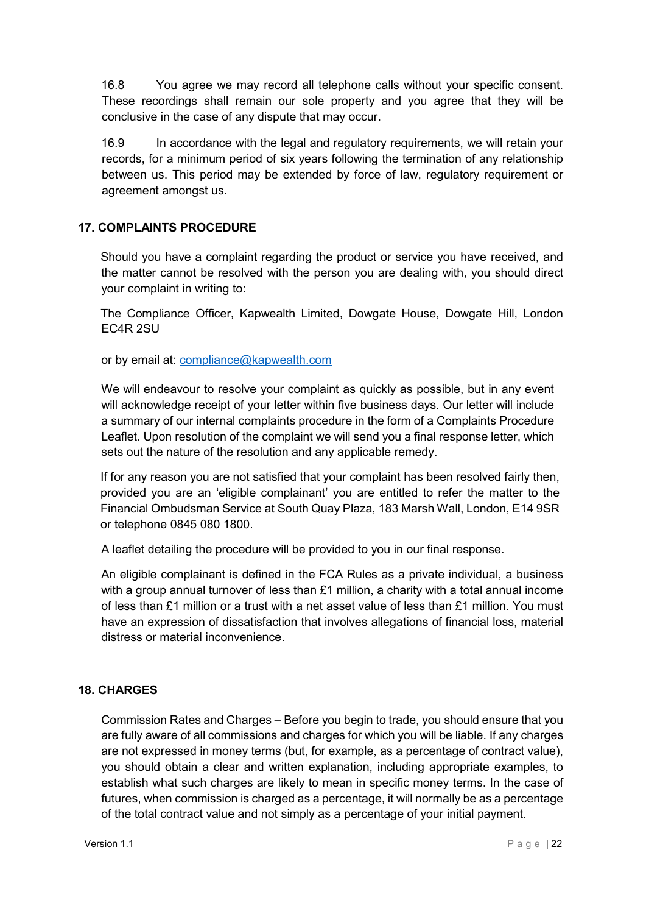16.8 You agree we may record all telephone calls without your specific consent. These recordings shall remain our sole property and you agree that they will be conclusive in the case of any dispute that may occur.

16.9 In accordance with the legal and regulatory requirements, we will retain your records, for a minimum period of six years following the termination of any relationship between us. This period may be extended by force of law, regulatory requirement or agreement amongst us.

## **17. COMPLAINTS PROCEDURE**

Should you have a complaint regarding the product or service you have received, and the matter cannot be resolved with the person you are dealing with, you should direct your complaint in writing to:

The Compliance Officer, C/O Jellyfish Ltd, Kapwealth, 28th Floor, The Shard, 32 London Bridge Street, London, SE1 9SG

or by email at: compliance@kapwealth.com

We will endeavour to resolve your complaint as quickly as possible, but in any event will acknowledge receipt of your letter within five business days. Our letter will include a summary of our internal complaints procedure in the form of a Complaints Procedure Leaflet. Upon resolution of the complaint we will send you a final response letter, which sets out the nature of the resolution and any applicable remedy.

If for any reason you are not satisfied that your complaint has been resolved fairly then, provided you are an 'eligible complainant' you are entitled to refer the matter to the Financial Ombudsman Service at South Quay Plaza, 183 Marsh Wall, London, E14 9SR or telephone 0845 080 1800.

A leaflet detailing the procedure will be provided to you in our final response.

An eligible complainant is defined in the FCA Rules as a private individual, a business with a group annual turnover of less than £1 million, a charity with a total annual income of less than £1 million or a trust with a net asset value of less than £1 million. You must have an expression of dissatisfaction that involves allegations of financial loss, material distress or material inconvenience.

#### **18. CHARGES**

Commission Rates and Charges – Before you begin to trade, you should ensure that you are fully aware of all commissions and charges for which you will be liable. If any charges are not expressed in money terms (but, for example, as a percentage of contract value), you should obtain a clear and written explanation, including appropriate examples, to establish what such charges are likely to mean in specific money terms. In the case of futures, when commission is charged as a percentage, it will normally be as a percentage of the total contract value and not simply as a percentage of your initial payment.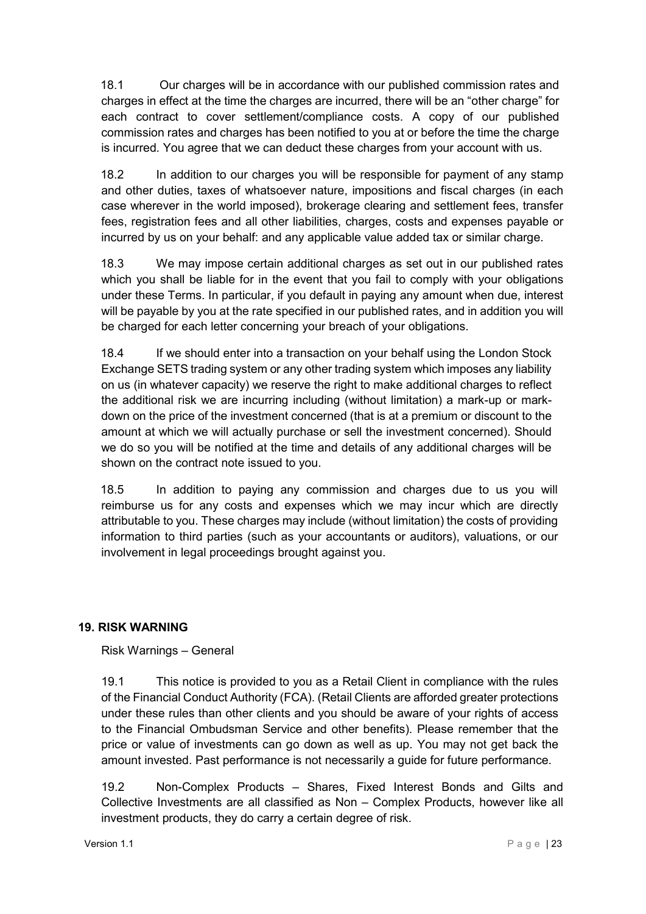18.1 Our charges will be in accordance with our published commission rates and charges in effect at the time the charges are incurred, there will be an "other charge" for each contract to cover settlement/compliance costs. A copy of our published commission rates and charges has been notified to you at or before the time the charge is incurred. You agree that we can deduct these charges from your account with us.

18.2 In addition to our charges you will be responsible for payment of any stamp and other duties, taxes of whatsoever nature, impositions and fiscal charges (in each case wherever in the world imposed), brokerage clearing and settlement fees, transfer fees, registration fees and all other liabilities, charges, costs and expenses payable or incurred by us on your behalf: and any applicable value added tax or similar charge.

18.3 We may impose certain additional charges as set out in our published rates which you shall be liable for in the event that you fail to comply with your obligations under these Terms. In particular, if you default in paying any amount when due, interest will be payable by you at the rate specified in our published rates, and in addition you will be charged for each letter concerning your breach of your obligations.

18.4 If we should enter into a transaction on your behalf using the London Stock Exchange SETS trading system or any other trading system which imposes any liability on us (in whatever capacity) we reserve the right to make additional charges to reflect the additional risk we are incurring including (without limitation) a mark-up or markdown on the price of the investment concerned (that is at a premium or discount to the amount at which we will actually purchase or sell the investment concerned). Should we do so you will be notified at the time and details of any additional charges will be shown on the contract note issued to you.

18.5 In addition to paying any commission and charges due to us you will reimburse us for any costs and expenses which we may incur which are directly attributable to you. These charges may include (without limitation) the costs of providing information to third parties (such as your accountants or auditors), valuations, or our involvement in legal proceedings brought against you.

## **19. RISK WARNING**

Risk Warnings – General

19.1 This notice is provided to you as a Retail Client in compliance with the rules of the Financial Conduct Authority (FCA). (Retail Clients are afforded greater protections under these rules than other clients and you should be aware of your rights of access to the Financial Ombudsman Service and other benefits). Please remember that the price or value of investments can go down as well as up. You may not get back the amount invested. Past performance is not necessarily a guide for future performance.

19.2 Non-Complex Products – Shares, Fixed Interest Bonds and Gilts and Collective Investments are all classified as Non – Complex Products, however like all investment products, they do carry a certain degree of risk.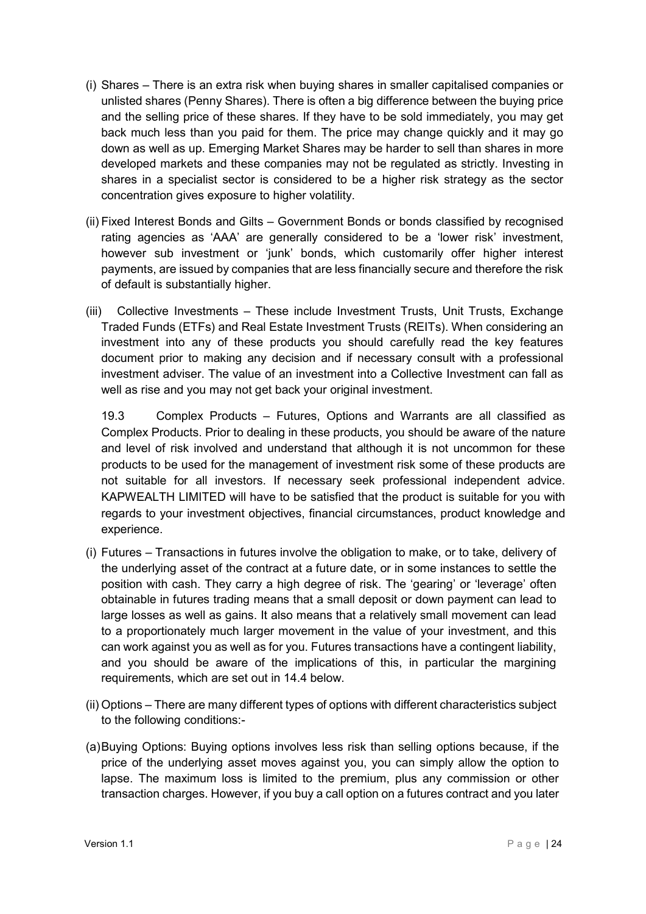- (i) Shares There is an extra risk when buying shares in smaller capitalised companies or unlisted shares (Penny Shares). There is often a big difference between the buying price and the selling price of these shares. If they have to be sold immediately, you may get back much less than you paid for them. The price may change quickly and it may go down as well as up. Emerging Market Shares may be harder to sell than shares in more developed markets and these companies may not be regulated as strictly. Investing in shares in a specialist sector is considered to be a higher risk strategy as the sector concentration gives exposure to higher volatility.
- (ii) Fixed Interest Bonds and Gilts Government Bonds or bonds classified by recognised rating agencies as 'AAA' are generally considered to be a 'lower risk' investment, however sub investment or 'junk' bonds, which customarily offer higher interest payments, are issued by companies that are less financially secure and therefore the risk of default is substantially higher.
- (iii) Collective Investments These include Investment Trusts, Unit Trusts, Exchange Traded Funds (ETFs) and Real Estate Investment Trusts (REITs). When considering an investment into any of these products you should carefully read the key features document prior to making any decision and if necessary consult with a professional investment adviser. The value of an investment into a Collective Investment can fall as well as rise and you may not get back your original investment.

19.3 Complex Products – Futures, Options and Warrants are all classified as Complex Products. Prior to dealing in these products, you should be aware of the nature and level of risk involved and understand that although it is not uncommon for these products to be used for the management of investment risk some of these products are not suitable for all investors. If necessary seek professional independent advice. KAPWEALTH LIMITED will have to be satisfied that the product is suitable for you with regards to your investment objectives, financial circumstances, product knowledge and experience.

- (i) Futures Transactions in futures involve the obligation to make, or to take, delivery of the underlying asset of the contract at a future date, or in some instances to settle the position with cash. They carry a high degree of risk. The 'gearing' or 'leverage' often obtainable in futures trading means that a small deposit or down payment can lead to large losses as well as gains. It also means that a relatively small movement can lead to a proportionately much larger movement in the value of your investment, and this can work against you as well as for you. Futures transactions have a contingent liability, and you should be aware of the implications of this, in particular the margining requirements, which are set out in 14.4 below.
- (ii) Options There are many different types of options with different characteristics subject to the following conditions:-
- (a)Buying Options: Buying options involves less risk than selling options because, if the price of the underlying asset moves against you, you can simply allow the option to lapse. The maximum loss is limited to the premium, plus any commission or other transaction charges. However, if you buy a call option on a futures contract and you later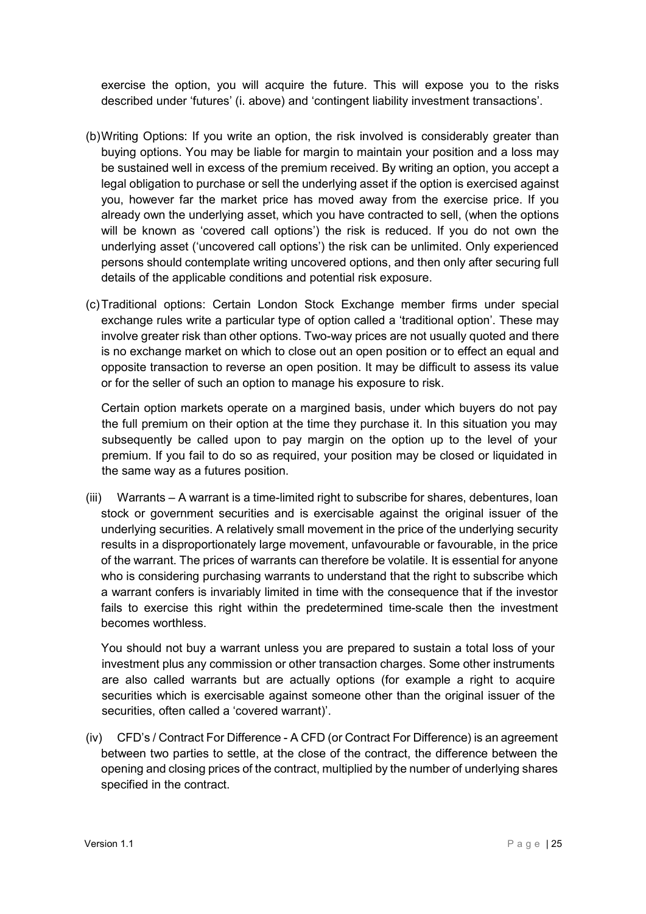exercise the option, you will acquire the future. This will expose you to the risks described under 'futures' (i. above) and 'contingent liability investment transactions'.

- (b)Writing Options: If you write an option, the risk involved is considerably greater than buying options. You may be liable for margin to maintain your position and a loss may be sustained well in excess of the premium received. By writing an option, you accept a legal obligation to purchase or sell the underlying asset if the option is exercised against you, however far the market price has moved away from the exercise price. If you already own the underlying asset, which you have contracted to sell, (when the options will be known as 'covered call options') the risk is reduced. If you do not own the underlying asset ('uncovered call options') the risk can be unlimited. Only experienced persons should contemplate writing uncovered options, and then only after securing full details of the applicable conditions and potential risk exposure.
- (c) Traditional options: Certain London Stock Exchange member firms under special exchange rules write a particular type of option called a 'traditional option'. These may involve greater risk than other options. Two-way prices are not usually quoted and there is no exchange market on which to close out an open position or to effect an equal and opposite transaction to reverse an open position. It may be difficult to assess its value or for the seller of such an option to manage his exposure to risk.

Certain option markets operate on a margined basis, under which buyers do not pay the full premium on their option at the time they purchase it. In this situation you may subsequently be called upon to pay margin on the option up to the level of your premium. If you fail to do so as required, your position may be closed or liquidated in the same way as a futures position.

(iii) Warrants – A warrant is a time-limited right to subscribe for shares, debentures, loan stock or government securities and is exercisable against the original issuer of the underlying securities. A relatively small movement in the price of the underlying security results in a disproportionately large movement, unfavourable or favourable, in the price of the warrant. The prices of warrants can therefore be volatile. It is essential for anyone who is considering purchasing warrants to understand that the right to subscribe which a warrant confers is invariably limited in time with the consequence that if the investor fails to exercise this right within the predetermined time-scale then the investment becomes worthless.

You should not buy a warrant unless you are prepared to sustain a total loss of your investment plus any commission or other transaction charges. Some other instruments are also called warrants but are actually options (for example a right to acquire securities which is exercisable against someone other than the original issuer of the securities, often called a 'covered warrant)'.

(iv) CFD's / Contract For Difference - A CFD (or Contract For Difference) is an agreement between two parties to settle, at the close of the contract, the difference between the opening and closing prices of the contract, multiplied by the number of underlying shares specified in the contract.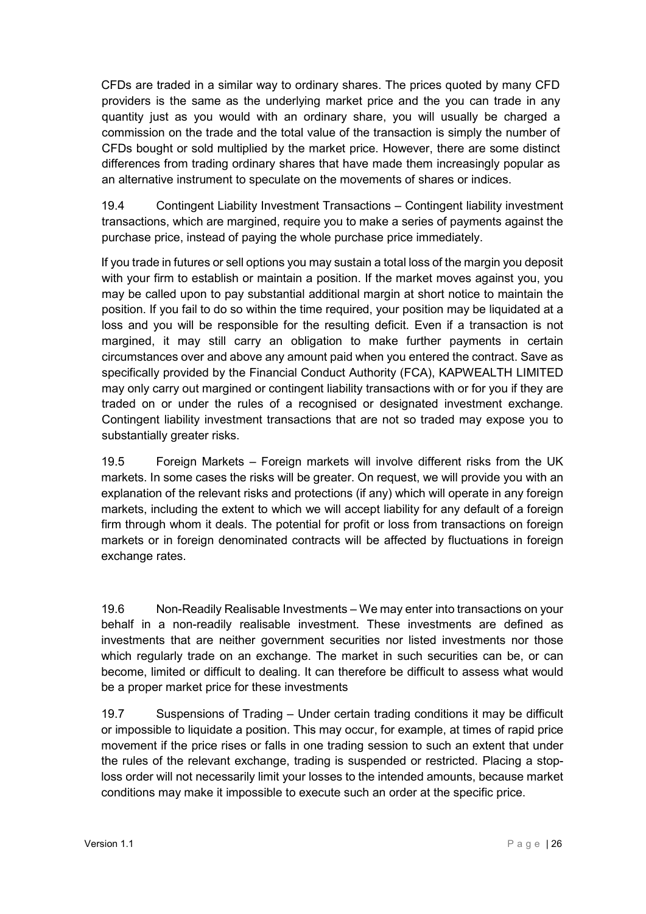CFDs are traded in a similar way to ordinary shares. The prices quoted by many CFD providers is the same as the underlying market price and the you can trade in any quantity just as you would with an ordinary share, you will usually be charged a commission on the trade and the total value of the transaction is simply the number of CFDs bought or sold multiplied by the market price. However, there are some distinct differences from trading ordinary shares that have made them increasingly popular as an alternative instrument to speculate on the movements of shares or indices.

19.4 Contingent Liability Investment Transactions – Contingent liability investment transactions, which are margined, require you to make a series of payments against the purchase price, instead of paying the whole purchase price immediately.

If you trade in futures or sell options you may sustain a total loss of the margin you deposit with your firm to establish or maintain a position. If the market moves against you, you may be called upon to pay substantial additional margin at short notice to maintain the position. If you fail to do so within the time required, your position may be liquidated at a loss and you will be responsible for the resulting deficit. Even if a transaction is not margined, it may still carry an obligation to make further payments in certain circumstances over and above any amount paid when you entered the contract. Save as specifically provided by the Financial Conduct Authority (FCA), KAPWEALTH LIMITED may only carry out margined or contingent liability transactions with or for you if they are traded on or under the rules of a recognised or designated investment exchange. Contingent liability investment transactions that are not so traded may expose you to substantially greater risks.

19.5 Foreign Markets – Foreign markets will involve different risks from the UK markets. In some cases the risks will be greater. On request, we will provide you with an explanation of the relevant risks and protections (if any) which will operate in any foreign markets, including the extent to which we will accept liability for any default of a foreign firm through whom it deals. The potential for profit or loss from transactions on foreign markets or in foreign denominated contracts will be affected by fluctuations in foreign exchange rates.

19.6 Non-Readily Realisable Investments – We may enter into transactions on your behalf in a non-readily realisable investment. These investments are defined as investments that are neither government securities nor listed investments nor those which regularly trade on an exchange. The market in such securities can be, or can become, limited or difficult to dealing. It can therefore be difficult to assess what would be a proper market price for these investments

19.7 Suspensions of Trading – Under certain trading conditions it may be difficult or impossible to liquidate a position. This may occur, for example, at times of rapid price movement if the price rises or falls in one trading session to such an extent that under the rules of the relevant exchange, trading is suspended or restricted. Placing a stoploss order will not necessarily limit your losses to the intended amounts, because market conditions may make it impossible to execute such an order at the specific price.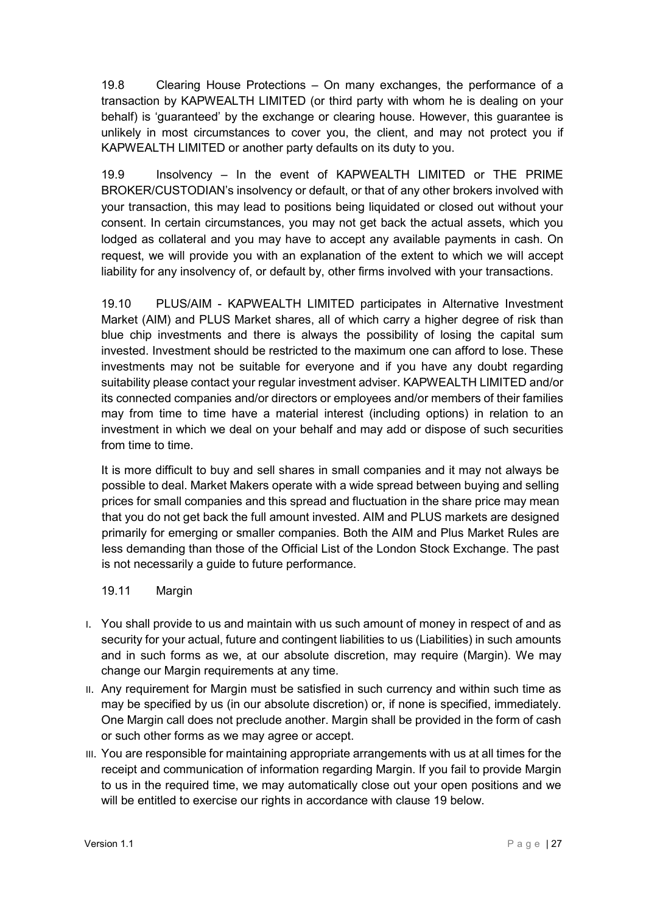19.8 Clearing House Protections – On many exchanges, the performance of a transaction by KAPWEALTH LIMITED (or third party with whom he is dealing on your behalf) is 'guaranteed' by the exchange or clearing house. However, this guarantee is unlikely in most circumstances to cover you, the client, and may not protect you if KAPWEALTH LIMITED or another party defaults on its duty to you.

19.9 Insolvency – In the event of KAPWEALTH LIMITED or THE PRIME BROKER/CUSTODIAN's insolvency or default, or that of any other brokers involved with your transaction, this may lead to positions being liquidated or closed out without your consent. In certain circumstances, you may not get back the actual assets, which you lodged as collateral and you may have to accept any available payments in cash. On request, we will provide you with an explanation of the extent to which we will accept liability for any insolvency of, or default by, other firms involved with your transactions.

19.10 PLUS/AIM - KAPWEALTH LIMITED participates in Alternative Investment Market (AIM) and PLUS Market shares, all of which carry a higher degree of risk than blue chip investments and there is always the possibility of losing the capital sum invested. Investment should be restricted to the maximum one can afford to lose. These investments may not be suitable for everyone and if you have any doubt regarding suitability please contact your regular investment adviser. KAPWEALTH LIMITED and/or its connected companies and/or directors or employees and/or members of their families may from time to time have a material interest (including options) in relation to an investment in which we deal on your behalf and may add or dispose of such securities from time to time.

It is more difficult to buy and sell shares in small companies and it may not always be possible to deal. Market Makers operate with a wide spread between buying and selling prices for small companies and this spread and fluctuation in the share price may mean that you do not get back the full amount invested. AIM and PLUS markets are designed primarily for emerging or smaller companies. Both the AIM and Plus Market Rules are less demanding than those of the Official List of the London Stock Exchange. The past is not necessarily a guide to future performance.

#### 19.11 Margin

- I. You shall provide to us and maintain with us such amount of money in respect of and as security for your actual, future and contingent liabilities to us (Liabilities) in such amounts and in such forms as we, at our absolute discretion, may require (Margin). We may change our Margin requirements at any time.
- II. Any requirement for Margin must be satisfied in such currency and within such time as may be specified by us (in our absolute discretion) or, if none is specified, immediately. One Margin call does not preclude another. Margin shall be provided in the form of cash or such other forms as we may agree or accept.
- III. You are responsible for maintaining appropriate arrangements with us at all times for the receipt and communication of information regarding Margin. If you fail to provide Margin to us in the required time, we may automatically close out your open positions and we will be entitled to exercise our rights in accordance with clause 19 below.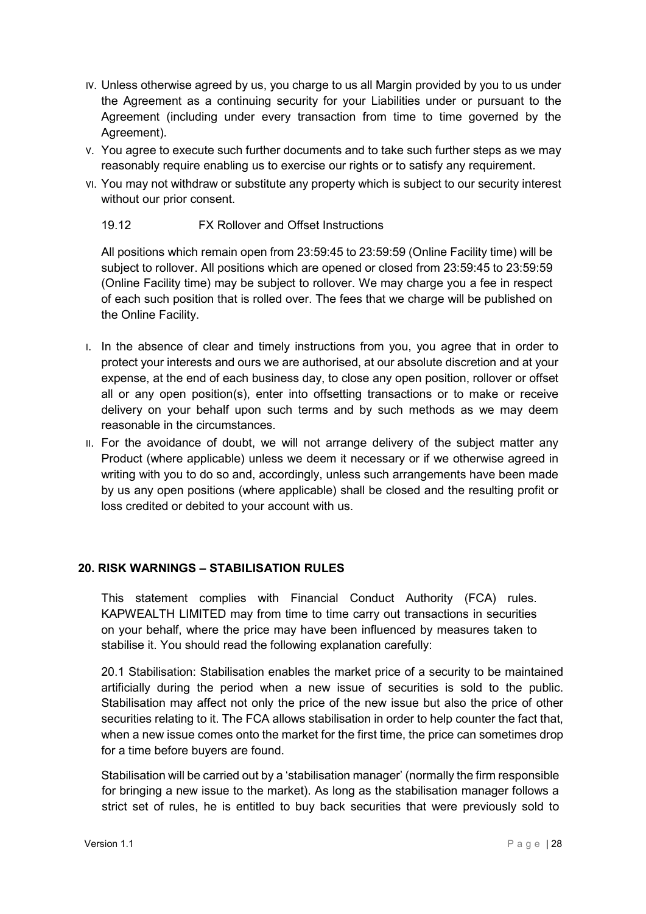- IV. Unless otherwise agreed by us, you charge to us all Margin provided by you to us under the Agreement as a continuing security for your Liabilities under or pursuant to the Agreement (including under every transaction from time to time governed by the Agreement).
- V. You agree to execute such further documents and to take such further steps as we may reasonably require enabling us to exercise our rights or to satisfy any requirement.
- VI. You may not withdraw or substitute any property which is subject to our security interest without our prior consent.

## 19.12 FX Rollover and Offset Instructions

All positions which remain open from 23:59:45 to 23:59:59 (Online Facility time) will be subject to rollover. All positions which are opened or closed from 23:59:45 to 23:59:59 (Online Facility time) may be subject to rollover. We may charge you a fee in respect of each such position that is rolled over. The fees that we charge will be published on the Online Facility.

- I. In the absence of clear and timely instructions from you, you agree that in order to protect your interests and ours we are authorised, at our absolute discretion and at your expense, at the end of each business day, to close any open position, rollover or offset all or any open position(s), enter into offsetting transactions or to make or receive delivery on your behalf upon such terms and by such methods as we may deem reasonable in the circumstances.
- II. For the avoidance of doubt, we will not arrange delivery of the subject matter any Product (where applicable) unless we deem it necessary or if we otherwise agreed in writing with you to do so and, accordingly, unless such arrangements have been made by us any open positions (where applicable) shall be closed and the resulting profit or loss credited or debited to your account with us.

#### **20. RISK WARNINGS – STABILISATION RULES**

This statement complies with Financial Conduct Authority (FCA) rules. KAPWEALTH LIMITED may from time to time carry out transactions in securities on your behalf, where the price may have been influenced by measures taken to stabilise it. You should read the following explanation carefully:

20.1 Stabilisation: Stabilisation enables the market price of a security to be maintained artificially during the period when a new issue of securities is sold to the public. Stabilisation may affect not only the price of the new issue but also the price of other securities relating to it. The FCA allows stabilisation in order to help counter the fact that, when a new issue comes onto the market for the first time, the price can sometimes drop for a time before buyers are found.

Stabilisation will be carried out by a 'stabilisation manager' (normally the firm responsible for bringing a new issue to the market). As long as the stabilisation manager follows a strict set of rules, he is entitled to buy back securities that were previously sold to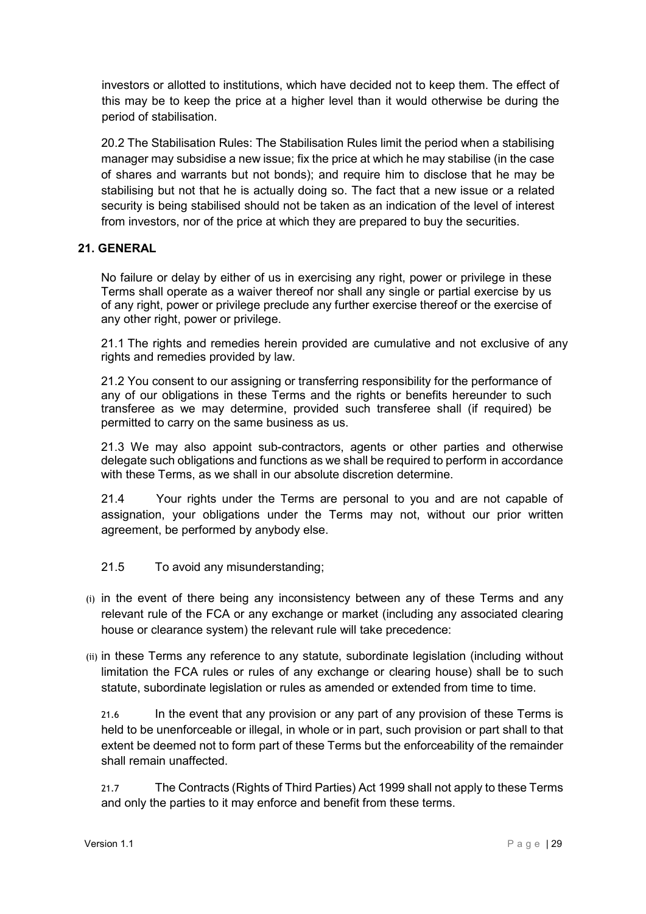investors or allotted to institutions, which have decided not to keep them. The effect of this may be to keep the price at a higher level than it would otherwise be during the period of stabilisation.

20.2 The Stabilisation Rules: The Stabilisation Rules limit the period when a stabilising manager may subsidise a new issue; fix the price at which he may stabilise (in the case of shares and warrants but not bonds); and require him to disclose that he may be stabilising but not that he is actually doing so. The fact that a new issue or a related security is being stabilised should not be taken as an indication of the level of interest from investors, nor of the price at which they are prepared to buy the securities.

#### **21. GENERAL**

No failure or delay by either of us in exercising any right, power or privilege in these Terms shall operate as a waiver thereof nor shall any single or partial exercise by us of any right, power or privilege preclude any further exercise thereof or the exercise of any other right, power or privilege.

21.1 The rights and remedies herein provided are cumulative and not exclusive of any rights and remedies provided by law.

21.2 You consent to our assigning or transferring responsibility for the performance of any of our obligations in these Terms and the rights or benefits hereunder to such transferee as we may determine, provided such transferee shall (if required) be permitted to carry on the same business as us.

21.3 We may also appoint sub-contractors, agents or other parties and otherwise delegate such obligations and functions as we shall be required to perform in accordance with these Terms, as we shall in our absolute discretion determine.

21.4 Your rights under the Terms are personal to you and are not capable of assignation, your obligations under the Terms may not, without our prior written agreement, be performed by anybody else.

- 21.5 To avoid any misunderstanding;
- (i) in the event of there being any inconsistency between any of these Terms and any relevant rule of the FCA or any exchange or market (including any associated clearing house or clearance system) the relevant rule will take precedence:
- (ii) in these Terms any reference to any statute, subordinate legislation (including without limitation the FCA rules or rules of any exchange or clearing house) shall be to such statute, subordinate legislation or rules as amended or extended from time to time.

21.6 In the event that any provision or any part of any provision of these Terms is held to be unenforceable or illegal, in whole or in part, such provision or part shall to that extent be deemed not to form part of these Terms but the enforceability of the remainder shall remain unaffected.

21.7 The Contracts (Rights of Third Parties) Act 1999 shall not apply to these Terms and only the parties to it may enforce and benefit from these terms.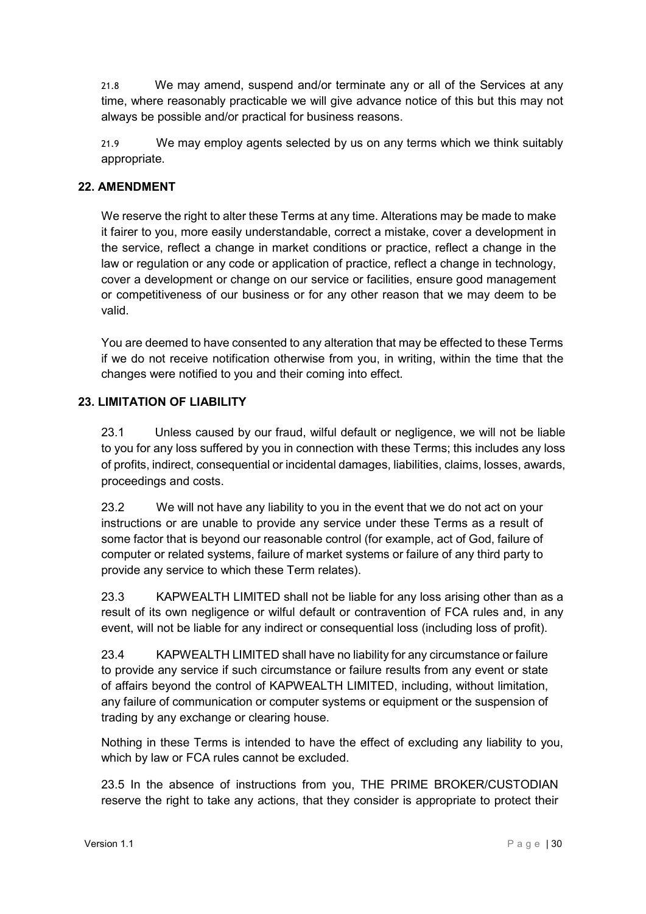21.8 We may amend, suspend and/or terminate any or all of the Services at any time, where reasonably practicable we will give advance notice of this but this may not always be possible and/or practical for business reasons.

21.9 We may employ agents selected by us on any terms which we think suitably appropriate.

## **22. AMENDMENT**

We reserve the right to alter these Terms at any time. Alterations may be made to make it fairer to you, more easily understandable, correct a mistake, cover a development in the service, reflect a change in market conditions or practice, reflect a change in the law or regulation or any code or application of practice, reflect a change in technology, cover a development or change on our service or facilities, ensure good management or competitiveness of our business or for any other reason that we may deem to be valid.

You are deemed to have consented to any alteration that may be effected to these Terms if we do not receive notification otherwise from you, in writing, within the time that the changes were notified to you and their coming into effect.

#### **23. LIMITATION OF LIABILITY**

23.1 Unless caused by our fraud, wilful default or negligence, we will not be liable to you for any loss suffered by you in connection with these Terms; this includes any loss of profits, indirect, consequential or incidental damages, liabilities, claims, losses, awards, proceedings and costs.

23.2 We will not have any liability to you in the event that we do not act on your instructions or are unable to provide any service under these Terms as a result of some factor that is beyond our reasonable control (for example, act of God, failure of computer or related systems, failure of market systems or failure of any third party to provide any service to which these Term relates).

23.3 KAPWEALTH LIMITED shall not be liable for any loss arising other than as a result of its own negligence or wilful default or contravention of FCA rules and, in any event, will not be liable for any indirect or consequential loss (including loss of profit).

23.4 KAPWEALTH LIMITED shall have no liability for any circumstance or failure to provide any service if such circumstance or failure results from any event or state of affairs beyond the control of KAPWEALTH LIMITED, including, without limitation, any failure of communication or computer systems or equipment or the suspension of trading by any exchange or clearing house.

Nothing in these Terms is intended to have the effect of excluding any liability to you, which by law or FCA rules cannot be excluded.

23.5 In the absence of instructions from you, THE PRIME BROKER/CUSTODIAN reserve the right to take any actions, that they consider is appropriate to protect their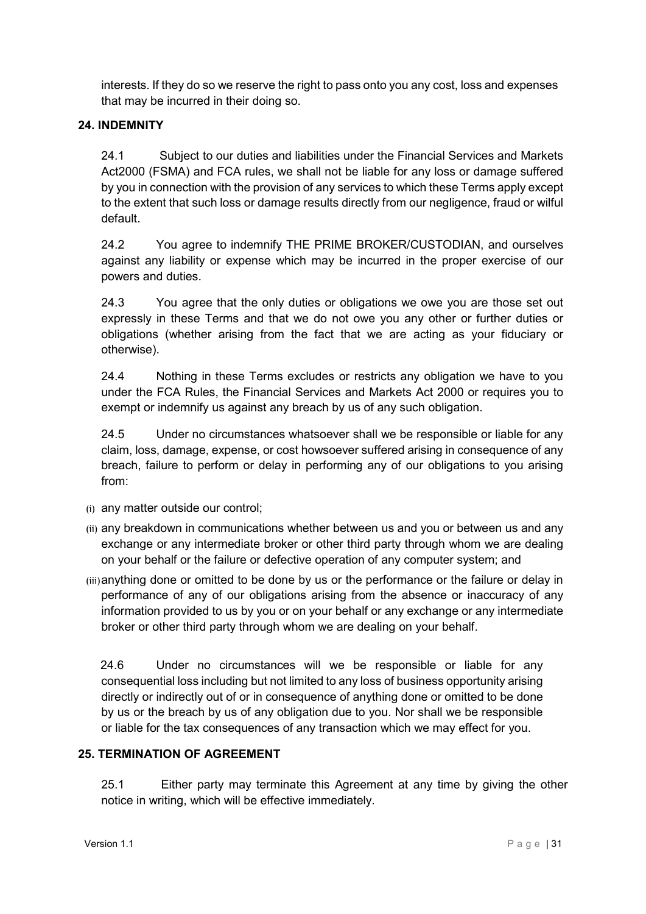interests. If they do so we reserve the right to pass onto you any cost, loss and expenses that may be incurred in their doing so.

## **24. INDEMNITY**

24.1 Subject to our duties and liabilities under the Financial Services and Markets Act2000 (FSMA) and FCA rules, we shall not be liable for any loss or damage suffered by you in connection with the provision of any services to which these Terms apply except to the extent that such loss or damage results directly from our negligence, fraud or wilful default.

24.2 You agree to indemnify THE PRIME BROKER/CUSTODIAN, and ourselves against any liability or expense which may be incurred in the proper exercise of our powers and duties.

24.3 You agree that the only duties or obligations we owe you are those set out expressly in these Terms and that we do not owe you any other or further duties or obligations (whether arising from the fact that we are acting as your fiduciary or otherwise).

24.4 Nothing in these Terms excludes or restricts any obligation we have to you under the FCA Rules, the Financial Services and Markets Act 2000 or requires you to exempt or indemnify us against any breach by us of any such obligation.

24.5 Under no circumstances whatsoever shall we be responsible or liable for any claim, loss, damage, expense, or cost howsoever suffered arising in consequence of any breach, failure to perform or delay in performing any of our obligations to you arising from:

- (i) any matter outside our control;
- (ii) any breakdown in communications whether between us and you or between us and any exchange or any intermediate broker or other third party through whom we are dealing on your behalf or the failure or defective operation of any computer system; and
- (iii)anything done or omitted to be done by us or the performance or the failure or delay in performance of any of our obligations arising from the absence or inaccuracy of any information provided to us by you or on your behalf or any exchange or any intermediate broker or other third party through whom we are dealing on your behalf.

24.6 Under no circumstances will we be responsible or liable for any consequential loss including but not limited to any loss of business opportunity arising directly or indirectly out of or in consequence of anything done or omitted to be done by us or the breach by us of any obligation due to you. Nor shall we be responsible or liable for the tax consequences of any transaction which we may effect for you.

#### **25. TERMINATION OF AGREEMENT**

25.1 Either party may terminate this Agreement at any time by giving the other notice in writing, which will be effective immediately.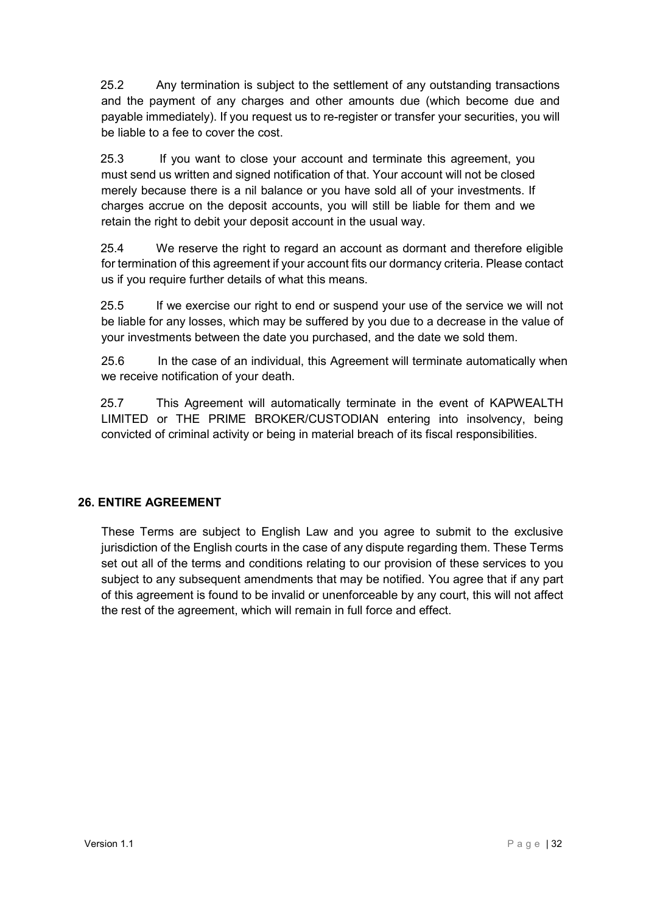25.2 Any termination is subject to the settlement of any outstanding transactions and the payment of any charges and other amounts due (which become due and payable immediately). If you request us to re-register or transfer your securities, you will be liable to a fee to cover the cost.

25.3 If you want to close your account and terminate this agreement, you must send us written and signed notification of that. Your account will not be closed merely because there is a nil balance or you have sold all of your investments. If charges accrue on the deposit accounts, you will still be liable for them and we retain the right to debit your deposit account in the usual way.

25.4 We reserve the right to regard an account as dormant and therefore eligible for termination of this agreement if your account fits our dormancy criteria. Please contact us if you require further details of what this means.

25.5 If we exercise our right to end or suspend your use of the service we will not be liable for any losses, which may be suffered by you due to a decrease in the value of your investments between the date you purchased, and the date we sold them.

25.6 In the case of an individual, this Agreement will terminate automatically when we receive notification of your death.

25.7 This Agreement will automatically terminate in the event of KAPWEALTH LIMITED or THE PRIME BROKER/CUSTODIAN entering into insolvency, being convicted of criminal activity or being in material breach of its fiscal responsibilities.

## **26. ENTIRE AGREEMENT**

These Terms are subject to English Law and you agree to submit to the exclusive jurisdiction of the English courts in the case of any dispute regarding them. These Terms set out all of the terms and conditions relating to our provision of these services to you subject to any subsequent amendments that may be notified. You agree that if any part of this agreement is found to be invalid or unenforceable by any court, this will not affect the rest of the agreement, which will remain in full force and effect.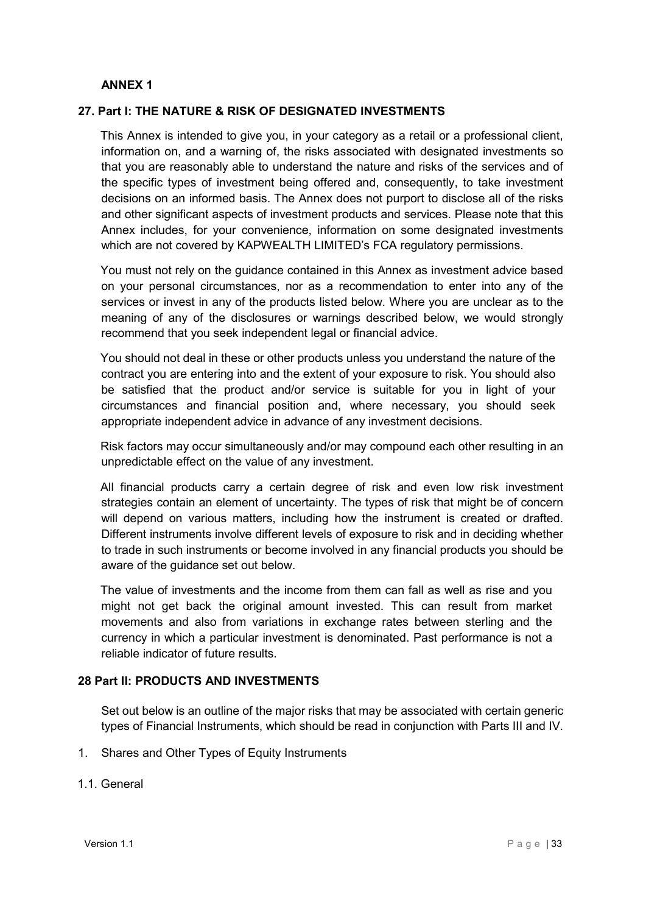#### **ANNEX 1**

#### **27. Part I: THE NATURE & RISK OF DESIGNATED INVESTMENTS**

This Annex is intended to give you, in your category as a retail or a professional client, information on, and a warning of, the risks associated with designated investments so that you are reasonably able to understand the nature and risks of the services and of the specific types of investment being offered and, consequently, to take investment decisions on an informed basis. The Annex does not purport to disclose all of the risks and other significant aspects of investment products and services. Please note that this Annex includes, for your convenience, information on some designated investments which are not covered by KAPWEALTH LIMITED's FCA regulatory permissions.

You must not rely on the guidance contained in this Annex as investment advice based on your personal circumstances, nor as a recommendation to enter into any of the services or invest in any of the products listed below. Where you are unclear as to the meaning of any of the disclosures or warnings described below, we would strongly recommend that you seek independent legal or financial advice.

You should not deal in these or other products unless you understand the nature of the contract you are entering into and the extent of your exposure to risk. You should also be satisfied that the product and/or service is suitable for you in light of your circumstances and financial position and, where necessary, you should seek appropriate independent advice in advance of any investment decisions.

Risk factors may occur simultaneously and/or may compound each other resulting in an unpredictable effect on the value of any investment.

All financial products carry a certain degree of risk and even low risk investment strategies contain an element of uncertainty. The types of risk that might be of concern will depend on various matters, including how the instrument is created or drafted. Different instruments involve different levels of exposure to risk and in deciding whether to trade in such instruments or become involved in any financial products you should be aware of the guidance set out below.

The value of investments and the income from them can fall as well as rise and you might not get back the original amount invested. This can result from market movements and also from variations in exchange rates between sterling and the currency in which a particular investment is denominated. Past performance is not a reliable indicator of future results.

#### **28 Part II: PRODUCTS AND INVESTMENTS**

Set out below is an outline of the major risks that may be associated with certain generic types of Financial Instruments, which should be read in conjunction with Parts III and IV.

1. Shares and Other Types of Equity Instruments

#### 1.1. General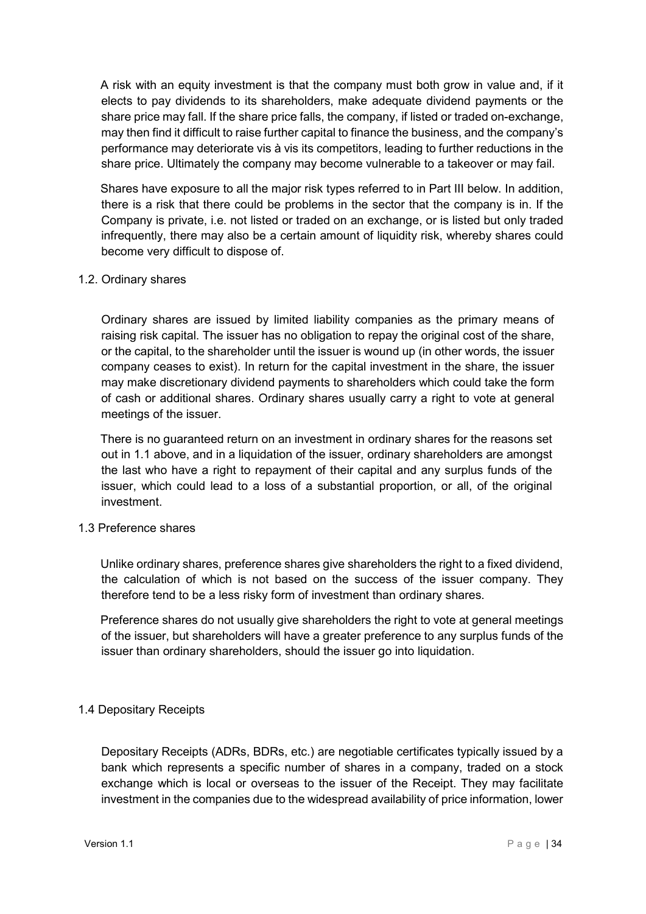A risk with an equity investment is that the company must both grow in value and, if it elects to pay dividends to its shareholders, make adequate dividend payments or the share price may fall. If the share price falls, the company, if listed or traded on-exchange, may then find it difficult to raise further capital to finance the business, and the company's performance may deteriorate vis à vis its competitors, leading to further reductions in the share price. Ultimately the company may become vulnerable to a takeover or may fail.

Shares have exposure to all the major risk types referred to in Part III below. In addition, there is a risk that there could be problems in the sector that the company is in. If the Company is private, i.e. not listed or traded on an exchange, or is listed but only traded infrequently, there may also be a certain amount of liquidity risk, whereby shares could become very difficult to dispose of.

#### 1.2. Ordinary shares

Ordinary shares are issued by limited liability companies as the primary means of raising risk capital. The issuer has no obligation to repay the original cost of the share, or the capital, to the shareholder until the issuer is wound up (in other words, the issuer company ceases to exist). In return for the capital investment in the share, the issuer may make discretionary dividend payments to shareholders which could take the form of cash or additional shares. Ordinary shares usually carry a right to vote at general meetings of the issuer.

There is no guaranteed return on an investment in ordinary shares for the reasons set out in 1.1 above, and in a liquidation of the issuer, ordinary shareholders are amongst the last who have a right to repayment of their capital and any surplus funds of the issuer, which could lead to a loss of a substantial proportion, or all, of the original investment.

#### 1.3 Preference shares

Unlike ordinary shares, preference shares give shareholders the right to a fixed dividend, the calculation of which is not based on the success of the issuer company. They therefore tend to be a less risky form of investment than ordinary shares.

Preference shares do not usually give shareholders the right to vote at general meetings of the issuer, but shareholders will have a greater preference to any surplus funds of the issuer than ordinary shareholders, should the issuer go into liquidation.

#### 1.4 Depositary Receipts

Depositary Receipts (ADRs, BDRs, etc.) are negotiable certificates typically issued by a bank which represents a specific number of shares in a company, traded on a stock exchange which is local or overseas to the issuer of the Receipt. They may facilitate investment in the companies due to the widespread availability of price information, lower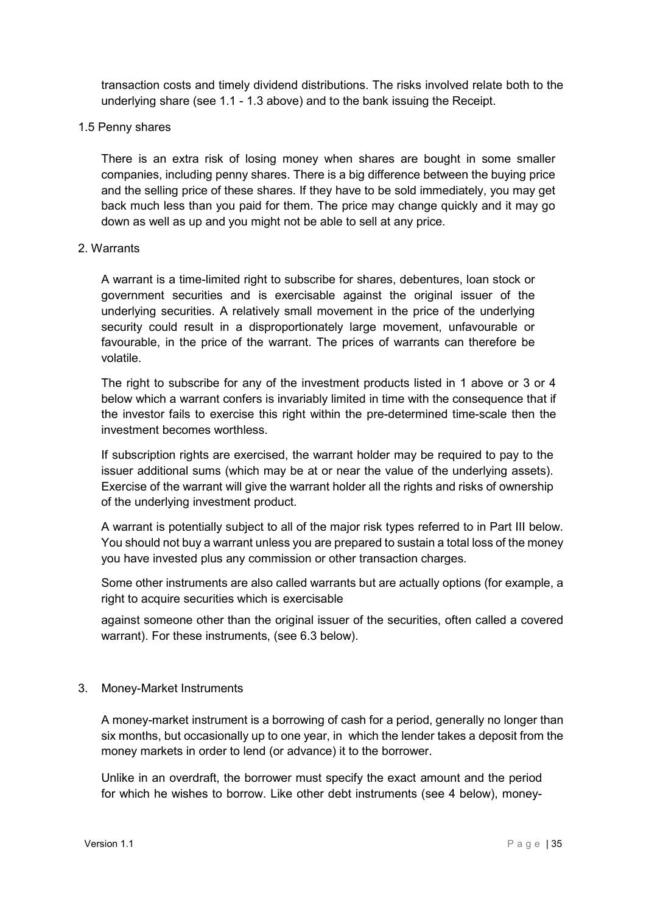transaction costs and timely dividend distributions. The risks involved relate both to the underlying share (see 1.1 - 1.3 above) and to the bank issuing the Receipt.

#### 1.5 Penny shares

There is an extra risk of losing money when shares are bought in some smaller companies, including penny shares. There is a big difference between the buying price and the selling price of these shares. If they have to be sold immediately, you may get back much less than you paid for them. The price may change quickly and it may go down as well as up and you might not be able to sell at any price.

#### 2. Warrants

A warrant is a time-limited right to subscribe for shares, debentures, loan stock or government securities and is exercisable against the original issuer of the underlying securities. A relatively small movement in the price of the underlying security could result in a disproportionately large movement, unfavourable or favourable, in the price of the warrant. The prices of warrants can therefore be volatile.

The right to subscribe for any of the investment products listed in 1 above or 3 or 4 below which a warrant confers is invariably limited in time with the consequence that if the investor fails to exercise this right within the pre-determined time-scale then the investment becomes worthless.

If subscription rights are exercised, the warrant holder may be required to pay to the issuer additional sums (which may be at or near the value of the underlying assets). Exercise of the warrant will give the warrant holder all the rights and risks of ownership of the underlying investment product.

A warrant is potentially subject to all of the major risk types referred to in Part III below. You should not buy a warrant unless you are prepared to sustain a total loss of the money you have invested plus any commission or other transaction charges.

Some other instruments are also called warrants but are actually options (for example, a right to acquire securities which is exercisable

against someone other than the original issuer of the securities, often called a covered warrant). For these instruments, (see 6.3 below).

#### 3. Money-Market Instruments

A money-market instrument is a borrowing of cash for a period, generally no longer than six months, but occasionally up to one year, in which the lender takes a deposit from the money markets in order to lend (or advance) it to the borrower.

Unlike in an overdraft, the borrower must specify the exact amount and the period for which he wishes to borrow. Like other debt instruments (see 4 below), money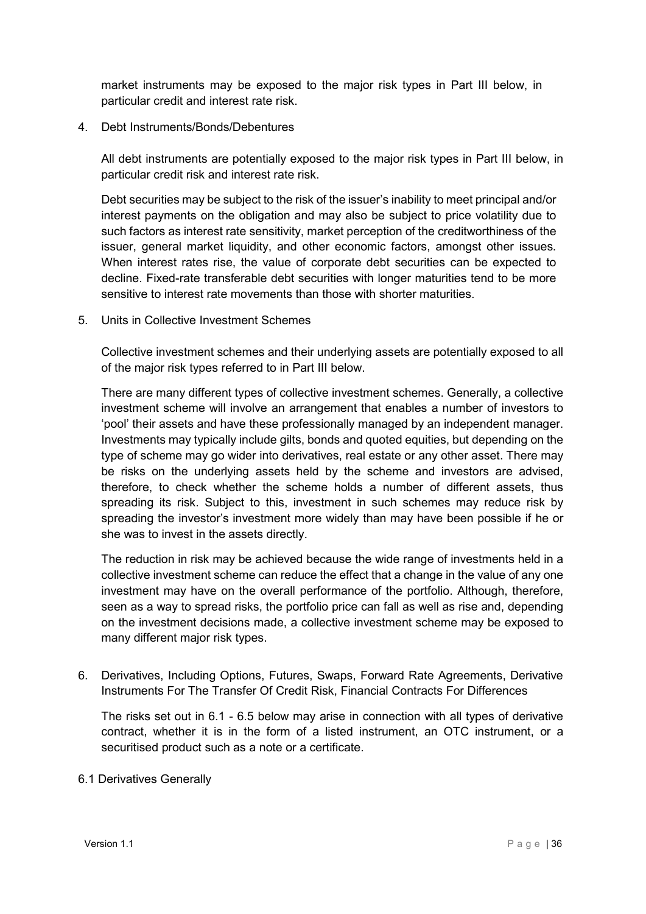market instruments may be exposed to the major risk types in Part III below, in particular credit and interest rate risk.

#### 4. Debt Instruments/Bonds/Debentures

All debt instruments are potentially exposed to the major risk types in Part III below, in particular credit risk and interest rate risk.

Debt securities may be subject to the risk of the issuer's inability to meet principal and/or interest payments on the obligation and may also be subject to price volatility due to such factors as interest rate sensitivity, market perception of the creditworthiness of the issuer, general market liquidity, and other economic factors, amongst other issues. When interest rates rise, the value of corporate debt securities can be expected to decline. Fixed-rate transferable debt securities with longer maturities tend to be more sensitive to interest rate movements than those with shorter maturities.

5. Units in Collective Investment Schemes

Collective investment schemes and their underlying assets are potentially exposed to all of the major risk types referred to in Part III below.

There are many different types of collective investment schemes. Generally, a collective investment scheme will involve an arrangement that enables a number of investors to 'pool' their assets and have these professionally managed by an independent manager. Investments may typically include gilts, bonds and quoted equities, but depending on the type of scheme may go wider into derivatives, real estate or any other asset. There may be risks on the underlying assets held by the scheme and investors are advised, therefore, to check whether the scheme holds a number of different assets, thus spreading its risk. Subject to this, investment in such schemes may reduce risk by spreading the investor's investment more widely than may have been possible if he or she was to invest in the assets directly.

The reduction in risk may be achieved because the wide range of investments held in a collective investment scheme can reduce the effect that a change in the value of any one investment may have on the overall performance of the portfolio. Although, therefore, seen as a way to spread risks, the portfolio price can fall as well as rise and, depending on the investment decisions made, a collective investment scheme may be exposed to many different major risk types.

6. Derivatives, Including Options, Futures, Swaps, Forward Rate Agreements, Derivative Instruments For The Transfer Of Credit Risk, Financial Contracts For Differences

The risks set out in 6.1 - 6.5 below may arise in connection with all types of derivative contract, whether it is in the form of a listed instrument, an OTC instrument, or a securitised product such as a note or a certificate.

#### 6.1 Derivatives Generally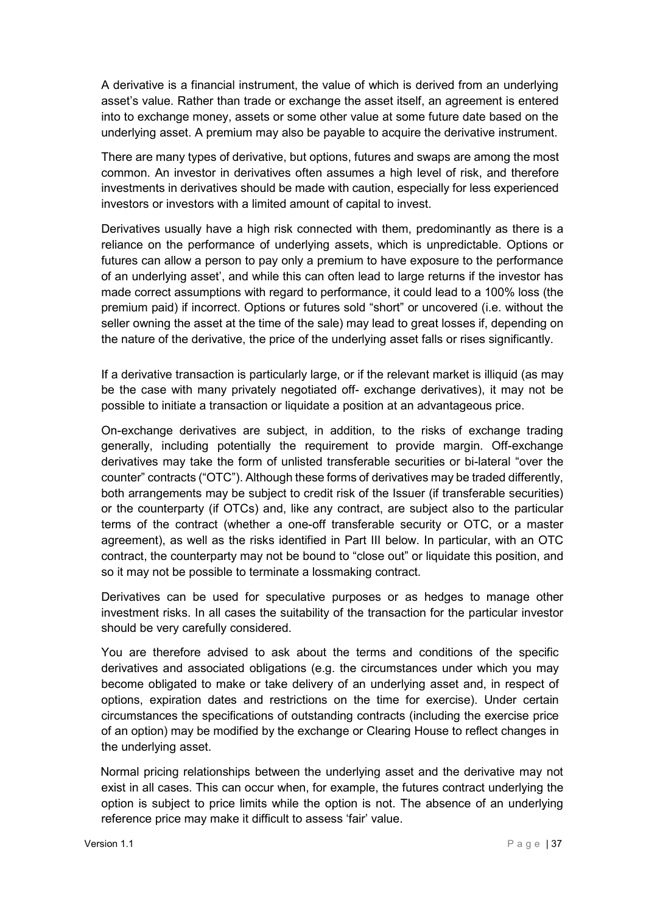A derivative is a financial instrument, the value of which is derived from an underlying asset's value. Rather than trade or exchange the asset itself, an agreement is entered into to exchange money, assets or some other value at some future date based on the underlying asset. A premium may also be payable to acquire the derivative instrument.

There are many types of derivative, but options, futures and swaps are among the most common. An investor in derivatives often assumes a high level of risk, and therefore investments in derivatives should be made with caution, especially for less experienced investors or investors with a limited amount of capital to invest.

Derivatives usually have a high risk connected with them, predominantly as there is a reliance on the performance of underlying assets, which is unpredictable. Options or futures can allow a person to pay only a premium to have exposure to the performance of an underlying asset', and while this can often lead to large returns if the investor has made correct assumptions with regard to performance, it could lead to a 100% loss (the premium paid) if incorrect. Options or futures sold "short" or uncovered (i.e. without the seller owning the asset at the time of the sale) may lead to great losses if, depending on the nature of the derivative, the price of the underlying asset falls or rises significantly.

If a derivative transaction is particularly large, or if the relevant market is illiquid (as may be the case with many privately negotiated off- exchange derivatives), it may not be possible to initiate a transaction or liquidate a position at an advantageous price.

On-exchange derivatives are subject, in addition, to the risks of exchange trading generally, including potentially the requirement to provide margin. Off-exchange derivatives may take the form of unlisted transferable securities or bi-lateral "over the counter" contracts ("OTC"). Although these forms of derivatives may be traded differently, both arrangements may be subject to credit risk of the Issuer (if transferable securities) or the counterparty (if OTCs) and, like any contract, are subject also to the particular terms of the contract (whether a one-off transferable security or OTC, or a master agreement), as well as the risks identified in Part III below. In particular, with an OTC contract, the counterparty may not be bound to "close out" or liquidate this position, and so it may not be possible to terminate a lossmaking contract.

Derivatives can be used for speculative purposes or as hedges to manage other investment risks. In all cases the suitability of the transaction for the particular investor should be very carefully considered.

You are therefore advised to ask about the terms and conditions of the specific derivatives and associated obligations (e.g. the circumstances under which you may become obligated to make or take delivery of an underlying asset and, in respect of options, expiration dates and restrictions on the time for exercise). Under certain circumstances the specifications of outstanding contracts (including the exercise price of an option) may be modified by the exchange or Clearing House to reflect changes in the underlying asset.

Normal pricing relationships between the underlying asset and the derivative may not exist in all cases. This can occur when, for example, the futures contract underlying the option is subject to price limits while the option is not. The absence of an underlying reference price may make it difficult to assess 'fair' value.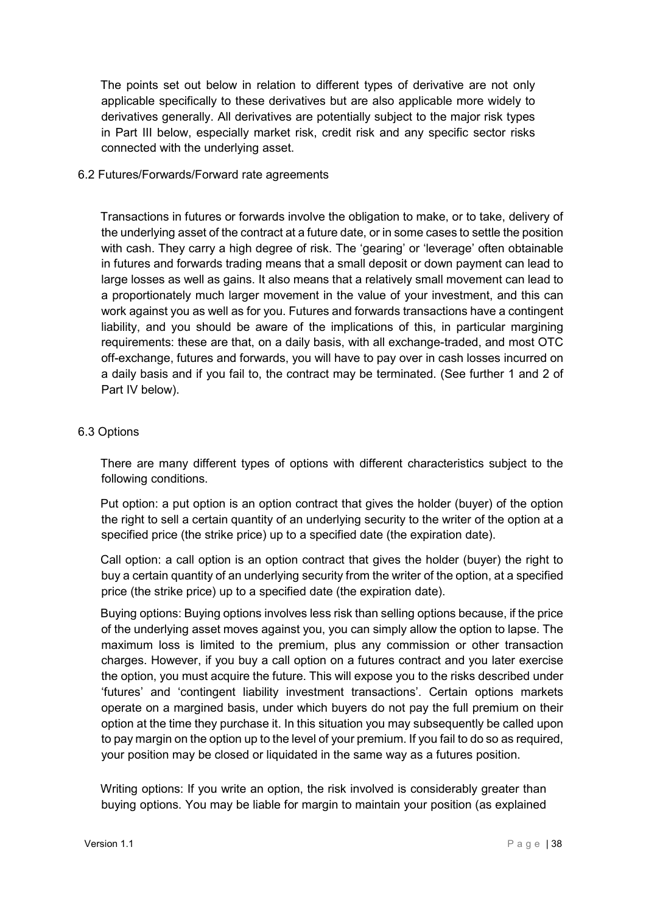The points set out below in relation to different types of derivative are not only applicable specifically to these derivatives but are also applicable more widely to derivatives generally. All derivatives are potentially subject to the major risk types in Part III below, especially market risk, credit risk and any specific sector risks connected with the underlying asset.

#### 6.2 Futures/Forwards/Forward rate agreements

Transactions in futures or forwards involve the obligation to make, or to take, delivery of the underlying asset of the contract at a future date, or in some cases to settle the position with cash. They carry a high degree of risk. The 'gearing' or 'leverage' often obtainable in futures and forwards trading means that a small deposit or down payment can lead to large losses as well as gains. It also means that a relatively small movement can lead to a proportionately much larger movement in the value of your investment, and this can work against you as well as for you. Futures and forwards transactions have a contingent liability, and you should be aware of the implications of this, in particular margining requirements: these are that, on a daily basis, with all exchange-traded, and most OTC off-exchange, futures and forwards, you will have to pay over in cash losses incurred on a daily basis and if you fail to, the contract may be terminated. (See further 1 and 2 of Part IV below).

#### 6.3 Options

There are many different types of options with different characteristics subject to the following conditions.

Put option: a put option is an option contract that gives the holder (buyer) of the option the right to sell a certain quantity of an underlying security to the writer of the option at a specified price (the strike price) up to a specified date (the expiration date).

Call option: a call option is an option contract that gives the holder (buyer) the right to buy a certain quantity of an underlying security from the writer of the option, at a specified price (the strike price) up to a specified date (the expiration date).

Buying options: Buying options involves less risk than selling options because, if the price of the underlying asset moves against you, you can simply allow the option to lapse. The maximum loss is limited to the premium, plus any commission or other transaction charges. However, if you buy a call option on a futures contract and you later exercise the option, you must acquire the future. This will expose you to the risks described under 'futures' and 'contingent liability investment transactions'. Certain options markets operate on a margined basis, under which buyers do not pay the full premium on their option at the time they purchase it. In this situation you may subsequently be called upon to pay margin on the option up to the level of your premium. If you fail to do so as required, your position may be closed or liquidated in the same way as a futures position.

Writing options: If you write an option, the risk involved is considerably greater than buying options. You may be liable for margin to maintain your position (as explained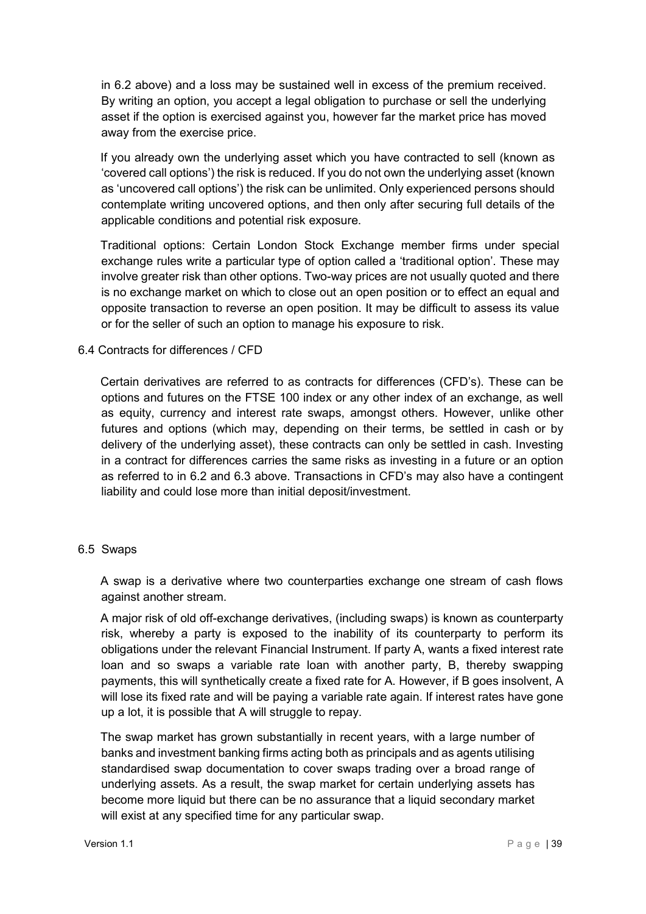in 6.2 above) and a loss may be sustained well in excess of the premium received. By writing an option, you accept a legal obligation to purchase or sell the underlying asset if the option is exercised against you, however far the market price has moved away from the exercise price.

If you already own the underlying asset which you have contracted to sell (known as 'covered call options') the risk is reduced. If you do not own the underlying asset (known as 'uncovered call options') the risk can be unlimited. Only experienced persons should contemplate writing uncovered options, and then only after securing full details of the applicable conditions and potential risk exposure.

Traditional options: Certain London Stock Exchange member firms under special exchange rules write a particular type of option called a 'traditional option'. These may involve greater risk than other options. Two-way prices are not usually quoted and there is no exchange market on which to close out an open position or to effect an equal and opposite transaction to reverse an open position. It may be difficult to assess its value or for the seller of such an option to manage his exposure to risk.

#### 6.4 Contracts for differences / CFD

Certain derivatives are referred to as contracts for differences (CFD's). These can be options and futures on the FTSE 100 index or any other index of an exchange, as well as equity, currency and interest rate swaps, amongst others. However, unlike other futures and options (which may, depending on their terms, be settled in cash or by delivery of the underlying asset), these contracts can only be settled in cash. Investing in a contract for differences carries the same risks as investing in a future or an option as referred to in 6.2 and 6.3 above. Transactions in CFD's may also have a contingent liability and could lose more than initial deposit/investment.

#### 6.5 Swaps

A swap is a derivative where two counterparties exchange one stream of cash flows against another stream.

A major risk of old off-exchange derivatives, (including swaps) is known as counterparty risk, whereby a party is exposed to the inability of its counterparty to perform its obligations under the relevant Financial Instrument. If party A, wants a fixed interest rate loan and so swaps a variable rate loan with another party, B, thereby swapping payments, this will synthetically create a fixed rate for A. However, if B goes insolvent, A will lose its fixed rate and will be paying a variable rate again. If interest rates have gone up a lot, it is possible that A will struggle to repay.

The swap market has grown substantially in recent years, with a large number of banks and investment banking firms acting both as principals and as agents utilising standardised swap documentation to cover swaps trading over a broad range of underlying assets. As a result, the swap market for certain underlying assets has become more liquid but there can be no assurance that a liquid secondary market will exist at any specified time for any particular swap.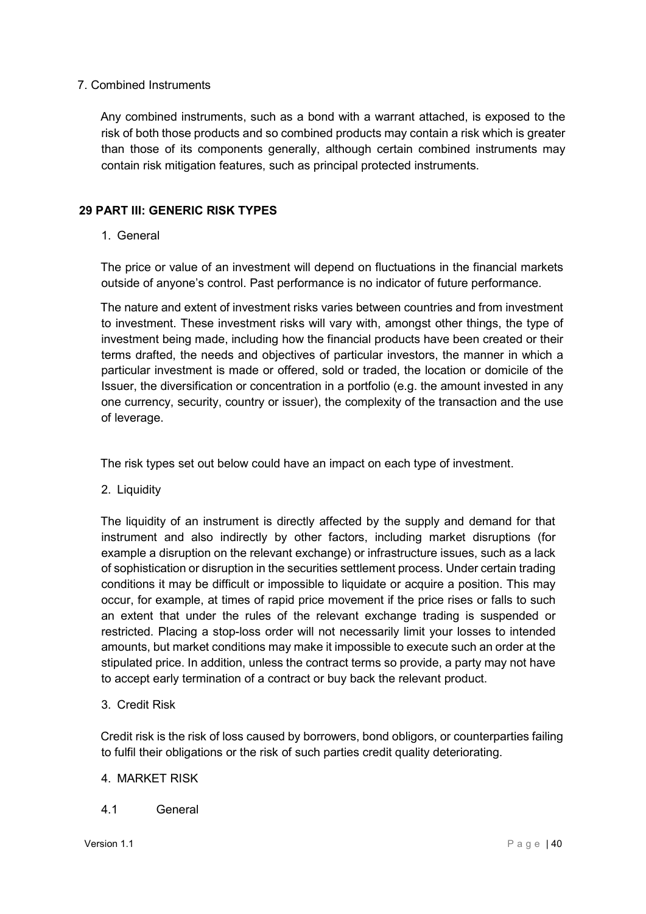#### 7. Combined Instruments

Any combined instruments, such as a bond with a warrant attached, is exposed to the risk of both those products and so combined products may contain a risk which is greater than those of its components generally, although certain combined instruments may contain risk mitigation features, such as principal protected instruments.

## **29 PART III: GENERIC RISK TYPES**

#### 1. General

The price or value of an investment will depend on fluctuations in the financial markets outside of anyone's control. Past performance is no indicator of future performance.

The nature and extent of investment risks varies between countries and from investment to investment. These investment risks will vary with, amongst other things, the type of investment being made, including how the financial products have been created or their terms drafted, the needs and objectives of particular investors, the manner in which a particular investment is made or offered, sold or traded, the location or domicile of the Issuer, the diversification or concentration in a portfolio (e.g. the amount invested in any one currency, security, country or issuer), the complexity of the transaction and the use of leverage.

The risk types set out below could have an impact on each type of investment.

2. Liquidity

The liquidity of an instrument is directly affected by the supply and demand for that instrument and also indirectly by other factors, including market disruptions (for example a disruption on the relevant exchange) or infrastructure issues, such as a lack of sophistication or disruption in the securities settlement process. Under certain trading conditions it may be difficult or impossible to liquidate or acquire a position. This may occur, for example, at times of rapid price movement if the price rises or falls to such an extent that under the rules of the relevant exchange trading is suspended or restricted. Placing a stop-loss order will not necessarily limit your losses to intended amounts, but market conditions may make it impossible to execute such an order at the stipulated price. In addition, unless the contract terms so provide, a party may not have to accept early termination of a contract or buy back the relevant product.

3. Credit Risk

Credit risk is the risk of loss caused by borrowers, bond obligors, or counterparties failing to fulfil their obligations or the risk of such parties credit quality deteriorating.

#### 4. MARKET RISK

#### 4.1 General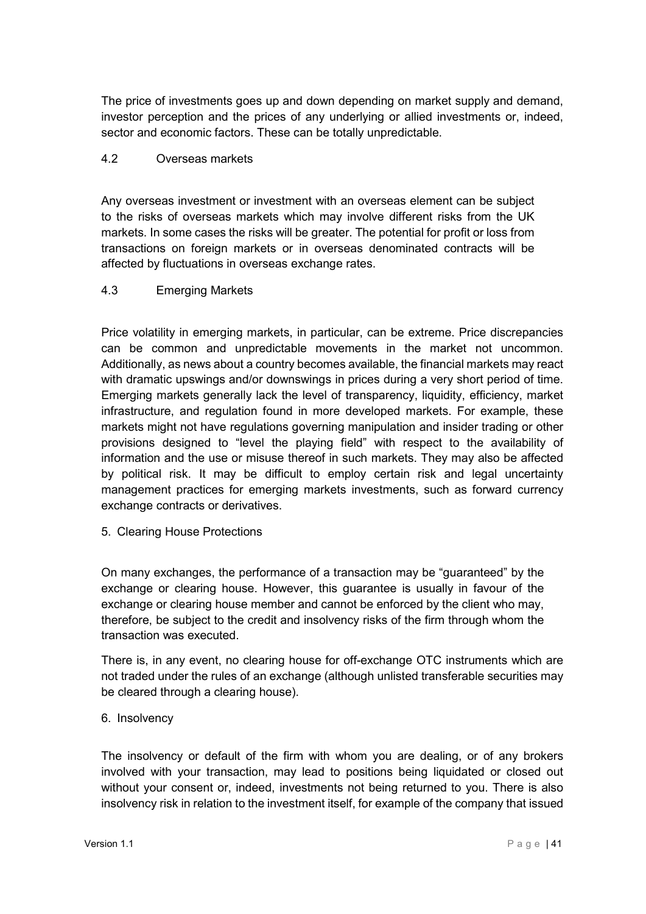The price of investments goes up and down depending on market supply and demand, investor perception and the prices of any underlying or allied investments or, indeed, sector and economic factors. These can be totally unpredictable.

## 4.2 Overseas markets

Any overseas investment or investment with an overseas element can be subject to the risks of overseas markets which may involve different risks from the UK markets. In some cases the risks will be greater. The potential for profit or loss from transactions on foreign markets or in overseas denominated contracts will be affected by fluctuations in overseas exchange rates.

## 4.3 Emerging Markets

Price volatility in emerging markets, in particular, can be extreme. Price discrepancies can be common and unpredictable movements in the market not uncommon. Additionally, as news about a country becomes available, the financial markets may react with dramatic upswings and/or downswings in prices during a very short period of time. Emerging markets generally lack the level of transparency, liquidity, efficiency, market infrastructure, and regulation found in more developed markets. For example, these markets might not have regulations governing manipulation and insider trading or other provisions designed to "level the playing field" with respect to the availability of information and the use or misuse thereof in such markets. They may also be affected by political risk. It may be difficult to employ certain risk and legal uncertainty management practices for emerging markets investments, such as forward currency exchange contracts or derivatives.

5. Clearing House Protections

On many exchanges, the performance of a transaction may be "guaranteed" by the exchange or clearing house. However, this guarantee is usually in favour of the exchange or clearing house member and cannot be enforced by the client who may, therefore, be subject to the credit and insolvency risks of the firm through whom the transaction was executed.

There is, in any event, no clearing house for off-exchange OTC instruments which are not traded under the rules of an exchange (although unlisted transferable securities may be cleared through a clearing house).

6. Insolvency

The insolvency or default of the firm with whom you are dealing, or of any brokers involved with your transaction, may lead to positions being liquidated or closed out without your consent or, indeed, investments not being returned to you. There is also insolvency risk in relation to the investment itself, for example of the company that issued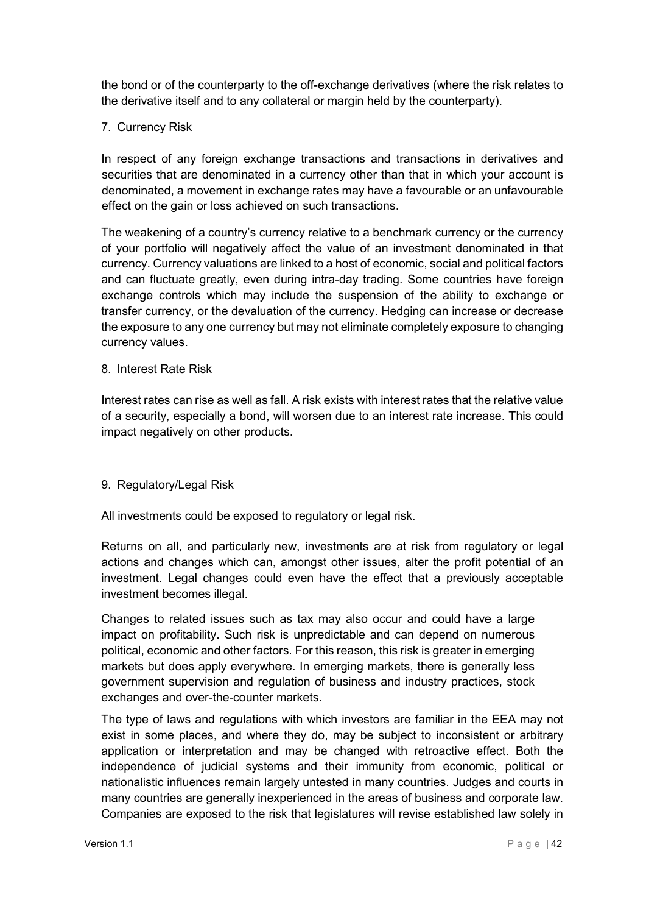the bond or of the counterparty to the off-exchange derivatives (where the risk relates to the derivative itself and to any collateral or margin held by the counterparty).

## 7. Currency Risk

In respect of any foreign exchange transactions and transactions in derivatives and securities that are denominated in a currency other than that in which your account is denominated, a movement in exchange rates may have a favourable or an unfavourable effect on the gain or loss achieved on such transactions.

The weakening of a country's currency relative to a benchmark currency or the currency of your portfolio will negatively affect the value of an investment denominated in that currency. Currency valuations are linked to a host of economic, social and political factors and can fluctuate greatly, even during intra-day trading. Some countries have foreign exchange controls which may include the suspension of the ability to exchange or transfer currency, or the devaluation of the currency. Hedging can increase or decrease the exposure to any one currency but may not eliminate completely exposure to changing currency values.

#### 8. Interest Rate Risk

Interest rates can rise as well as fall. A risk exists with interest rates that the relative value of a security, especially a bond, will worsen due to an interest rate increase. This could impact negatively on other products.

#### 9. Regulatory/Legal Risk

All investments could be exposed to regulatory or legal risk.

Returns on all, and particularly new, investments are at risk from regulatory or legal actions and changes which can, amongst other issues, alter the profit potential of an investment. Legal changes could even have the effect that a previously acceptable investment becomes illegal.

Changes to related issues such as tax may also occur and could have a large impact on profitability. Such risk is unpredictable and can depend on numerous political, economic and other factors. For this reason, this risk is greater in emerging markets but does apply everywhere. In emerging markets, there is generally less government supervision and regulation of business and industry practices, stock exchanges and over-the-counter markets.

The type of laws and regulations with which investors are familiar in the EEA may not exist in some places, and where they do, may be subject to inconsistent or arbitrary application or interpretation and may be changed with retroactive effect. Both the independence of judicial systems and their immunity from economic, political or nationalistic influences remain largely untested in many countries. Judges and courts in many countries are generally inexperienced in the areas of business and corporate law. Companies are exposed to the risk that legislatures will revise established law solely in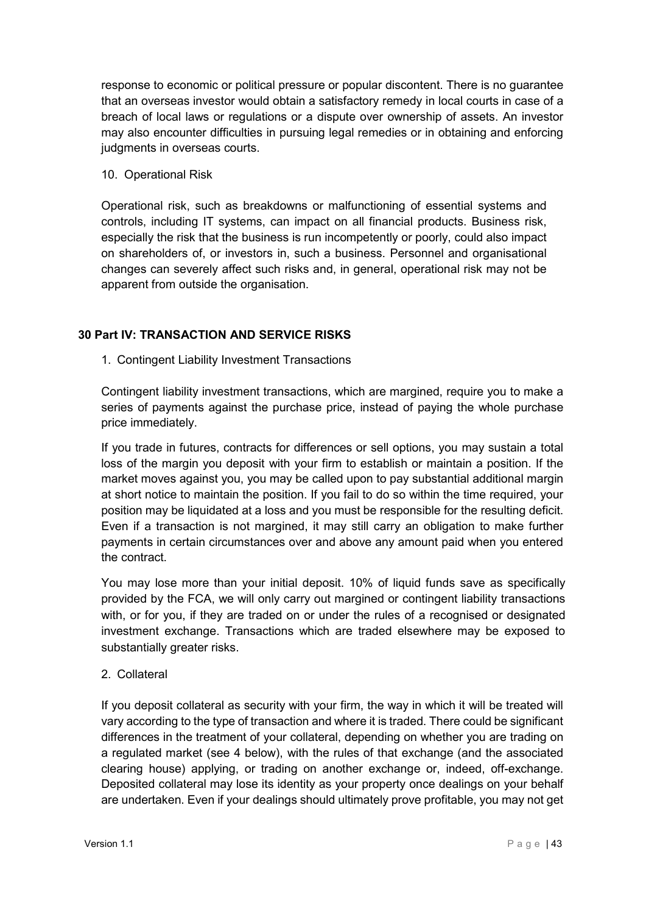response to economic or political pressure or popular discontent. There is no guarantee that an overseas investor would obtain a satisfactory remedy in local courts in case of a breach of local laws or regulations or a dispute over ownership of assets. An investor may also encounter difficulties in pursuing legal remedies or in obtaining and enforcing judgments in overseas courts.

10. Operational Risk

Operational risk, such as breakdowns or malfunctioning of essential systems and controls, including IT systems, can impact on all financial products. Business risk, especially the risk that the business is run incompetently or poorly, could also impact on shareholders of, or investors in, such a business. Personnel and organisational changes can severely affect such risks and, in general, operational risk may not be apparent from outside the organisation.

# **30 Part IV: TRANSACTION AND SERVICE RISKS**

1. Contingent Liability Investment Transactions

Contingent liability investment transactions, which are margined, require you to make a series of payments against the purchase price, instead of paying the whole purchase price immediately.

If you trade in futures, contracts for differences or sell options, you may sustain a total loss of the margin you deposit with your firm to establish or maintain a position. If the market moves against you, you may be called upon to pay substantial additional margin at short notice to maintain the position. If you fail to do so within the time required, your position may be liquidated at a loss and you must be responsible for the resulting deficit. Even if a transaction is not margined, it may still carry an obligation to make further payments in certain circumstances over and above any amount paid when you entered the contract.

You may lose more than your initial deposit. 10% of liquid funds save as specifically provided by the FCA, we will only carry out margined or contingent liability transactions with, or for you, if they are traded on or under the rules of a recognised or designated investment exchange. Transactions which are traded elsewhere may be exposed to substantially greater risks.

2. Collateral

If you deposit collateral as security with your firm, the way in which it will be treated will vary according to the type of transaction and where it is traded. There could be significant differences in the treatment of your collateral, depending on whether you are trading on a regulated market (see 4 below), with the rules of that exchange (and the associated clearing house) applying, or trading on another exchange or, indeed, off-exchange. Deposited collateral may lose its identity as your property once dealings on your behalf are undertaken. Even if your dealings should ultimately prove profitable, you may not get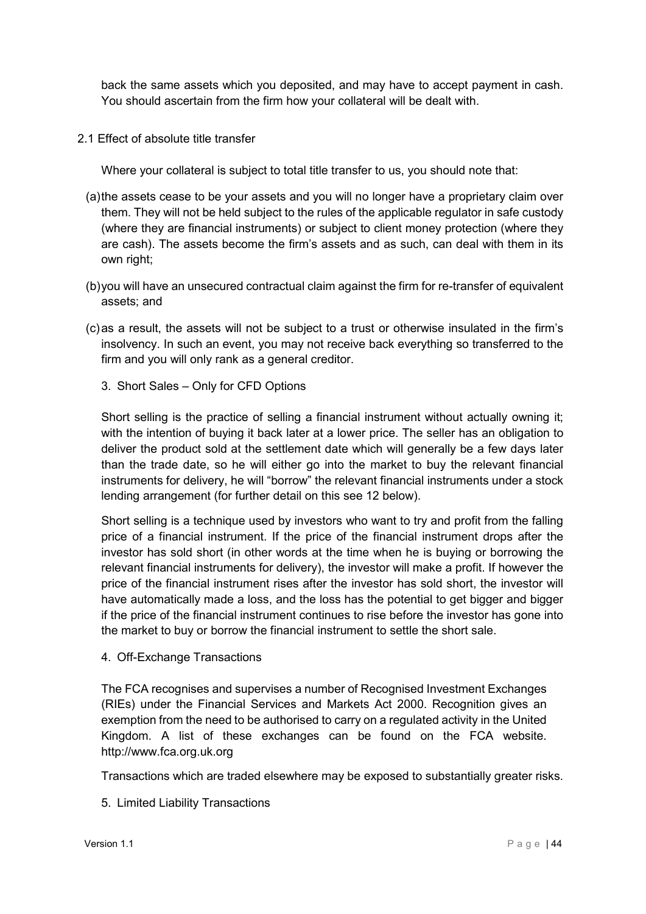back the same assets which you deposited, and may have to accept payment in cash. You should ascertain from the firm how your collateral will be dealt with.

2.1 Effect of absolute title transfer

Where your collateral is subject to total title transfer to us, you should note that:

- (a)the assets cease to be your assets and you will no longer have a proprietary claim over them. They will not be held subject to the rules of the applicable regulator in safe custody (where they are financial instruments) or subject to client money protection (where they are cash). The assets become the firm's assets and as such, can deal with them in its own right;
- (b)you will have an unsecured contractual claim against the firm for re-transfer of equivalent assets; and
- (c) as a result, the assets will not be subject to a trust or otherwise insulated in the firm's insolvency. In such an event, you may not receive back everything so transferred to the firm and you will only rank as a general creditor.
	- 3. Short Sales Only for CFD Options

Short selling is the practice of selling a financial instrument without actually owning it; with the intention of buying it back later at a lower price. The seller has an obligation to deliver the product sold at the settlement date which will generally be a few days later than the trade date, so he will either go into the market to buy the relevant financial instruments for delivery, he will "borrow" the relevant financial instruments under a stock lending arrangement (for further detail on this see 12 below).

Short selling is a technique used by investors who want to try and profit from the falling price of a financial instrument. If the price of the financial instrument drops after the investor has sold short (in other words at the time when he is buying or borrowing the relevant financial instruments for delivery), the investor will make a profit. If however the price of the financial instrument rises after the investor has sold short, the investor will have automatically made a loss, and the loss has the potential to get bigger and bigger if the price of the financial instrument continues to rise before the investor has gone into the market to buy or borrow the financial instrument to settle the short sale.

4. Off-Exchange Transactions

The FCA recognises and supervises a number of Recognised Investment Exchanges (RIEs) under the Financial Services and Markets Act 2000. Recognition gives an exemption from the need to be authorised to carry on a regulated activity in the United Kingdom. A list of these exchanges can be found on the FCA website. [http://www.fca.org.uk.org](http://www.fca.org.uk.org/)

Transactions which are traded elsewhere may be exposed to substantially greater risks.

5. Limited Liability Transactions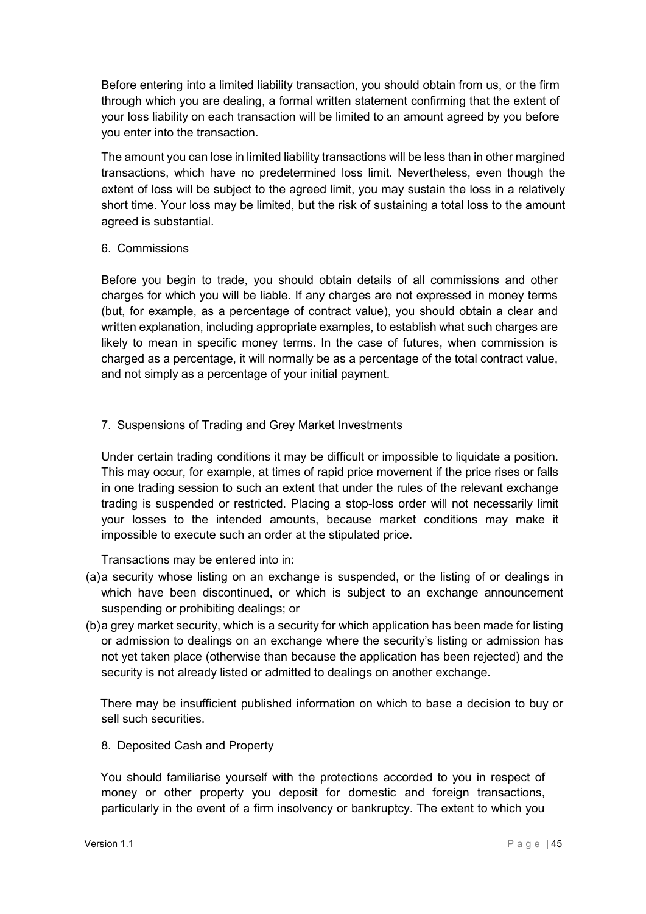Before entering into a limited liability transaction, you should obtain from us, or the firm through which you are dealing, a formal written statement confirming that the extent of your loss liability on each transaction will be limited to an amount agreed by you before you enter into the transaction.

The amount you can lose in limited liability transactions will be less than in other margined transactions, which have no predetermined loss limit. Nevertheless, even though the extent of loss will be subject to the agreed limit, you may sustain the loss in a relatively short time. Your loss may be limited, but the risk of sustaining a total loss to the amount agreed is substantial.

#### 6. Commissions

Before you begin to trade, you should obtain details of all commissions and other charges for which you will be liable. If any charges are not expressed in money terms (but, for example, as a percentage of contract value), you should obtain a clear and written explanation, including appropriate examples, to establish what such charges are likely to mean in specific money terms. In the case of futures, when commission is charged as a percentage, it will normally be as a percentage of the total contract value, and not simply as a percentage of your initial payment.

7. Suspensions of Trading and Grey Market Investments

Under certain trading conditions it may be difficult or impossible to liquidate a position. This may occur, for example, at times of rapid price movement if the price rises or falls in one trading session to such an extent that under the rules of the relevant exchange trading is suspended or restricted. Placing a stop-loss order will not necessarily limit your losses to the intended amounts, because market conditions may make it impossible to execute such an order at the stipulated price.

Transactions may be entered into in:

- (a)a security whose listing on an exchange is suspended, or the listing of or dealings in which have been discontinued, or which is subject to an exchange announcement suspending or prohibiting dealings; or
- (b)a grey market security, which is a security for which application has been made for listing or admission to dealings on an exchange where the security's listing or admission has not yet taken place (otherwise than because the application has been rejected) and the security is not already listed or admitted to dealings on another exchange.

There may be insufficient published information on which to base a decision to buy or sell such securities.

8. Deposited Cash and Property

You should familiarise yourself with the protections accorded to you in respect of money or other property you deposit for domestic and foreign transactions, particularly in the event of a firm insolvency or bankruptcy. The extent to which you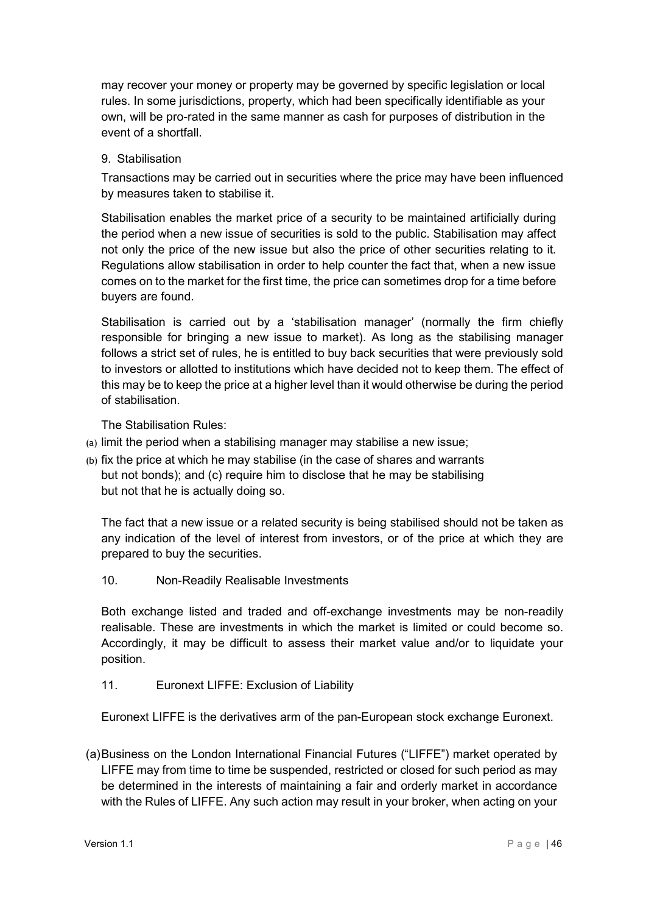may recover your money or property may be governed by specific legislation or local rules. In some jurisdictions, property, which had been specifically identifiable as your own, will be pro-rated in the same manner as cash for purposes of distribution in the event of a shortfall.

#### 9. Stabilisation

Transactions may be carried out in securities where the price may have been influenced by measures taken to stabilise it.

Stabilisation enables the market price of a security to be maintained artificially during the period when a new issue of securities is sold to the public. Stabilisation may affect not only the price of the new issue but also the price of other securities relating to it. Regulations allow stabilisation in order to help counter the fact that, when a new issue comes on to the market for the first time, the price can sometimes drop for a time before buyers are found.

Stabilisation is carried out by a 'stabilisation manager' (normally the firm chiefly responsible for bringing a new issue to market). As long as the stabilising manager follows a strict set of rules, he is entitled to buy back securities that were previously sold to investors or allotted to institutions which have decided not to keep them. The effect of this may be to keep the price at a higher level than it would otherwise be during the period of stabilisation.

The Stabilisation Rules:

- (a) limit the period when a stabilising manager may stabilise a new issue;
- (b) fix the price at which he may stabilise (in the case of shares and warrants but not bonds); and (c) require him to disclose that he may be stabilising but not that he is actually doing so.

The fact that a new issue or a related security is being stabilised should not be taken as any indication of the level of interest from investors, or of the price at which they are prepared to buy the securities.

10. Non-Readily Realisable Investments

Both exchange listed and traded and off-exchange investments may be non-readily realisable. These are investments in which the market is limited or could become so. Accordingly, it may be difficult to assess their market value and/or to liquidate your position.

11. Euronext LIFFE: Exclusion of Liability

Euronext LIFFE is the derivatives arm of the pan-European stock exchange Euronext.

(a)Business on the London International Financial Futures ("LIFFE") market operated by LIFFE may from time to time be suspended, restricted or closed for such period as may be determined in the interests of maintaining a fair and orderly market in accordance with the Rules of LIFFE. Any such action may result in your broker, when acting on your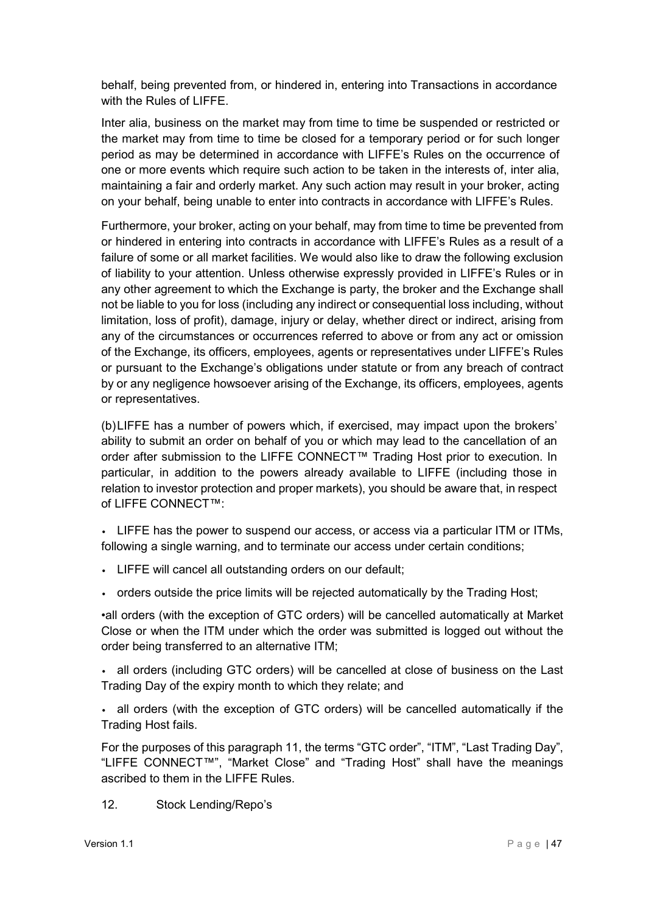behalf, being prevented from, or hindered in, entering into Transactions in accordance with the Rules of LIFFE.

Inter alia, business on the market may from time to time be suspended or restricted or the market may from time to time be closed for a temporary period or for such longer period as may be determined in accordance with LIFFE's Rules on the occurrence of one or more events which require such action to be taken in the interests of, inter alia, maintaining a fair and orderly market. Any such action may result in your broker, acting on your behalf, being unable to enter into contracts in accordance with LIFFE's Rules.

Furthermore, your broker, acting on your behalf, may from time to time be prevented from or hindered in entering into contracts in accordance with LIFFE's Rules as a result of a failure of some or all market facilities. We would also like to draw the following exclusion of liability to your attention. Unless otherwise expressly provided in LIFFE's Rules or in any other agreement to which the Exchange is party, the broker and the Exchange shall not be liable to you for loss (including any indirect or consequential loss including, without limitation, loss of profit), damage, injury or delay, whether direct or indirect, arising from any of the circumstances or occurrences referred to above or from any act or omission of the Exchange, its officers, employees, agents or representatives under LIFFE's Rules or pursuant to the Exchange's obligations under statute or from any breach of contract by or any negligence howsoever arising of the Exchange, its officers, employees, agents or representatives.

(b)LIFFE has a number of powers which, if exercised, may impact upon the brokers' ability to submit an order on behalf of you or which may lead to the cancellation of an order after submission to the LIFFE CONNECT™ Trading Host prior to execution. In particular, in addition to the powers already available to LIFFE (including those in relation to investor protection and proper markets), you should be aware that, in respect of LIFFE CONNECT™:

• LIFFE has the power to suspend our access, or access via a particular ITM or ITMs, following a single warning, and to terminate our access under certain conditions;

- LIFFE will cancel all outstanding orders on our default;
- orders outside the price limits will be rejected automatically by the Trading Host;

•all orders (with the exception of GTC orders) will be cancelled automatically at Market Close or when the ITM under which the order was submitted is logged out without the order being transferred to an alternative ITM;

• all orders (including GTC orders) will be cancelled at close of business on the Last Trading Day of the expiry month to which they relate; and

• all orders (with the exception of GTC orders) will be cancelled automatically if the Trading Host fails.

For the purposes of this paragraph 11, the terms "GTC order", "ITM", "Last Trading Day", "LIFFE CONNECT™", "Market Close" and "Trading Host" shall have the meanings ascribed to them in the LIFFE Rules.

12. Stock Lending/Repo's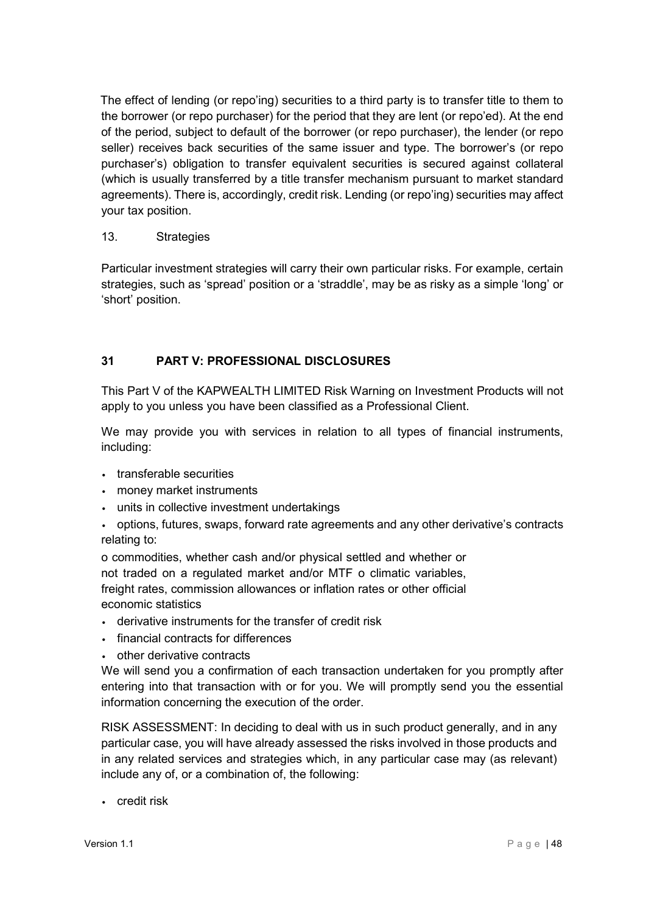The effect of lending (or repo'ing) securities to a third party is to transfer title to them to the borrower (or repo purchaser) for the period that they are lent (or repo'ed). At the end of the period, subject to default of the borrower (or repo purchaser), the lender (or repo seller) receives back securities of the same issuer and type. The borrower's (or repo purchaser's) obligation to transfer equivalent securities is secured against collateral (which is usually transferred by a title transfer mechanism pursuant to market standard agreements). There is, accordingly, credit risk. Lending (or repo'ing) securities may affect your tax position.

#### 13. Strategies

Particular investment strategies will carry their own particular risks. For example, certain strategies, such as 'spread' position or a 'straddle', may be as risky as a simple 'long' or 'short' position.

## **31 PART V: PROFESSIONAL DISCLOSURES**

This Part V of the KAPWEALTH LIMITED Risk Warning on Investment Products will not apply to you unless you have been classified as a Professional Client.

We may provide you with services in relation to all types of financial instruments, including:

- transferable securities
- money market instruments
- units in collective investment undertakings
- options, futures, swaps, forward rate agreements and any other derivative's contracts relating to:

o commodities, whether cash and/or physical settled and whether or not traded on a regulated market and/or MTF o climatic variables, freight rates, commission allowances or inflation rates or other official economic statistics

- derivative instruments for the transfer of credit risk
- financial contracts for differences
- other derivative contracts

We will send you a confirmation of each transaction undertaken for you promptly after entering into that transaction with or for you. We will promptly send you the essential information concerning the execution of the order.

RISK ASSESSMENT: In deciding to deal with us in such product generally, and in any particular case, you will have already assessed the risks involved in those products and in any related services and strategies which, in any particular case may (as relevant) include any of, or a combination of, the following:

• credit risk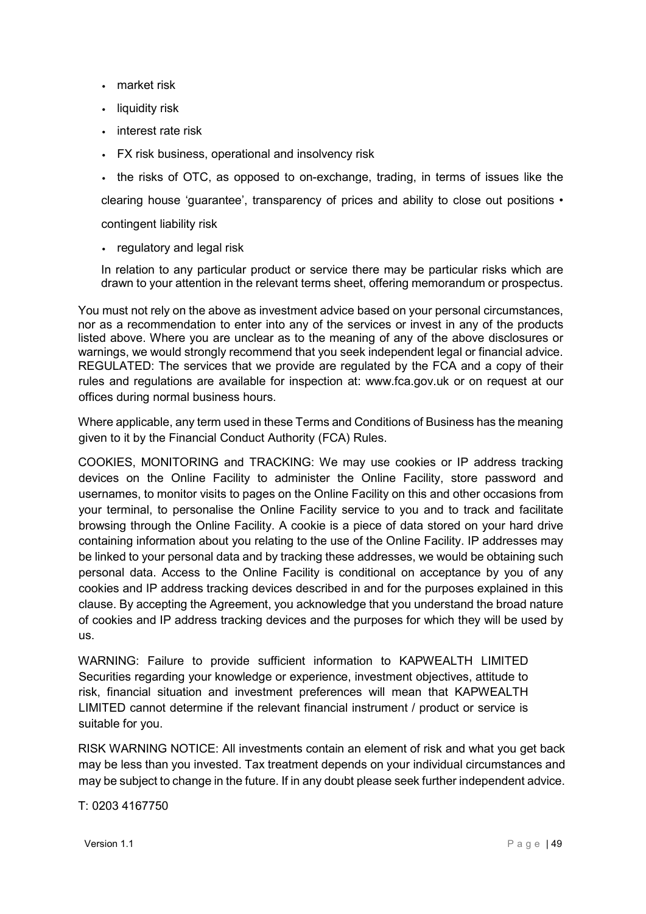- market risk
- liquidity risk
- interest rate risk
- FX risk business, operational and insolvency risk
- the risks of OTC, as opposed to on-exchange, trading, in terms of issues like the

clearing house 'guarantee', transparency of prices and ability to close out positions •

contingent liability risk

• regulatory and legal risk

In relation to any particular product or service there may be particular risks which are drawn to your attention in the relevant terms sheet, offering memorandum or prospectus.

You must not rely on the above as investment advice based on your personal circumstances, nor as a recommendation to enter into any of the services or invest in any of the products listed above. Where you are unclear as to the meaning of any of the above disclosures or warnings, we would strongly recommend that you seek independent legal or financial advice. REGULATED: The services that we provide are regulated by the FCA and a copy of their rules and regulations are available for inspection at: [www.fca.gov.uk](http://www.fca.gov.uk/) [o](http://www.fca.gov.uk/)r on request at our offices during normal business hours.

Where applicable, any term used in these Terms and Conditions of Business has the meaning given to it by the Financial Conduct Authority (FCA) Rules.

COOKIES, MONITORING and TRACKING: We may use cookies or IP address tracking devices on the Online Facility to administer the Online Facility, store password and usernames, to monitor visits to pages on the Online Facility on this and other occasions from your terminal, to personalise the Online Facility service to you and to track and facilitate browsing through the Online Facility. A cookie is a piece of data stored on your hard drive containing information about you relating to the use of the Online Facility. IP addresses may be linked to your personal data and by tracking these addresses, we would be obtaining such personal data. Access to the Online Facility is conditional on acceptance by you of any cookies and IP address tracking devices described in and for the purposes explained in this clause. By accepting the Agreement, you acknowledge that you understand the broad nature of cookies and IP address tracking devices and the purposes for which they will be used by us.

WARNING: Failure to provide sufficient information to KAPWEALTH LIMITED Securities regarding your knowledge or experience, investment objectives, attitude to risk, financial situation and investment preferences will mean that KAPWEALTH LIMITED cannot determine if the relevant financial instrument / product or service is suitable for you.

RISK WARNING NOTICE: All investments contain an element of risk and what you get back may be less than you invested. Tax treatment depends on your individual circumstances and may be subject to change in the future. If in any doubt please seek further independent advice.

T: 0203 4167750